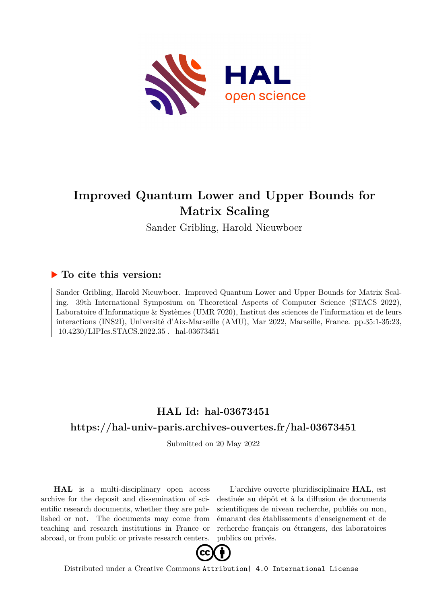

# **Improved Quantum Lower and Upper Bounds for Matrix Scaling**

Sander Gribling, Harold Nieuwboer

## **To cite this version:**

Sander Gribling, Harold Nieuwboer. Improved Quantum Lower and Upper Bounds for Matrix Scaling. 39th International Symposium on Theoretical Aspects of Computer Science (STACS 2022), Laboratoire d'Informatique & Systèmes (UMR 7020), Institut des sciences de l'information et de leurs interactions (INS2I), Université d'Aix-Marseille (AMU), Mar 2022, Marseille, France. pp.35:1-35:23, 10.4230/LIPIcs.STACS.2022.35 hal-03673451

## **HAL Id: hal-03673451 <https://hal-univ-paris.archives-ouvertes.fr/hal-03673451>**

Submitted on 20 May 2022

**HAL** is a multi-disciplinary open access archive for the deposit and dissemination of scientific research documents, whether they are published or not. The documents may come from teaching and research institutions in France or abroad, or from public or private research centers.

L'archive ouverte pluridisciplinaire **HAL**, est destinée au dépôt et à la diffusion de documents scientifiques de niveau recherche, publiés ou non, émanant des établissements d'enseignement et de recherche français ou étrangers, des laboratoires publics ou privés.



Distributed under a Creative Commons [Attribution| 4.0 International License](http://creativecommons.org/licenses/by/4.0/)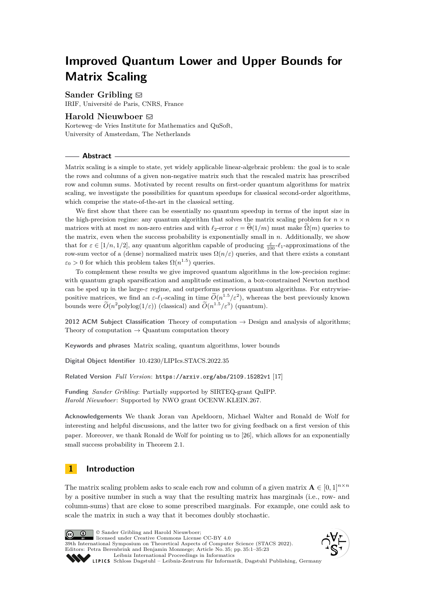# **Improved Quantum Lower and Upper Bounds for Matrix Scaling**

### **Sander Gribling**  $\boxtimes$

IRIF, Université de Paris, CNRS, France

### **Harold Nieuwboer** ⊠

Korteweg–de Vries Institute for Mathematics and QuSoft, University of Amsterdam, The Netherlands

### **Abstract**

Matrix scaling is a simple to state, yet widely applicable linear-algebraic problem: the goal is to scale the rows and columns of a given non-negative matrix such that the rescaled matrix has prescribed row and column sums. Motivated by recent results on first-order quantum algorithms for matrix scaling, we investigate the possibilities for quantum speedups for classical second-order algorithms, which comprise the state-of-the-art in the classical setting.

We first show that there can be essentially no quantum speedup in terms of the input size in the high-precision regime: any quantum algorithm that solves the matrix scaling problem for  $n \times n$ matrices with at most *m* non-zero entries and with  $\ell_2$ -error  $\varepsilon = \Theta(1/m)$  must make  $\Omega(m)$  queries to the matrix, even when the success probability is exponentially small in *n*. Additionally, we show that for  $\varepsilon \in [1/n, 1/2]$ , any quantum algorithm capable of producing  $\frac{\varepsilon}{100}$ - $\ell_1$ -approximations of the row-sum vector of a (dense) normalized matrix uses  $\Omega(n/\varepsilon)$  queries, and that there exists a constant  $\varepsilon_0 > 0$  for which this problem takes  $\Omega(n^{1.5})$  queries.

To complement these results we give improved quantum algorithms in the low-precision regime: with quantum graph sparsification and amplitude estimation, a box-constrained Newton method can be sped up in the large-*ε* regime, and outperforms previous quantum algorithms. For entrywisepositive matrices, we find an  $\varepsilon$ -*ℓ*<sub>1</sub>-scaling in time  $\widetilde{O}(n^{1.5}/\varepsilon^2)$ , whereas the best previously known bounds were  $\widetilde{O}(n^2 \text{polylog}(1/\varepsilon))$  (classical) and  $\widetilde{O}(n^{1.5}/\varepsilon^3)$  (quantum).

**2012 ACM Subject Classification** Theory of computation  $\rightarrow$  Design and analysis of algorithms; Theory of computation  $\rightarrow$  Quantum computation theory

**Keywords and phrases** Matrix scaling, quantum algorithms, lower bounds

**Digital Object Identifier** [10.4230/LIPIcs.STACS.2022.35](https://doi.org/10.4230/LIPIcs.STACS.2022.35)

**Related Version** *Full Version*: <https://arxiv.org/abs/2109.15282v1> [17]

**Funding** *Sander Gribling*: Partially supported by SIRTEQ-grant QuIPP. *Harold Nieuwboer*: Supported by NWO grant OCENW.KLEIN.267.

**Acknowledgements** We thank Joran van Apeldoorn, Michael Walter and Ronald de Wolf for interesting and helpful discussions, and the latter two for giving feedback on a first version of this paper. Moreover, we thank Ronald de Wolf for pointing us to [26], which allows for an exponentially small success probability in Theorem 2.1.

### **1 Introduction**

The matrix scaling problem asks to scale each row and column of a given matrix  $\mathbf{A} \in [0,1]^{n \times n}$ by a positive number in such a way that the resulting matrix has marginals (i.e., row- and column-sums) that are close to some prescribed marginals. For example, one could ask to scale the matrix in such a way that it becomes doubly stochastic.



© Sander Gribling and Harold Nieuwboer; licensed under Creative Commons License CC-BY 4.0 39th International Symposium on Theoretical Aspects of Computer Science (STACS 2022).

Editors: Petra Berenbrink and Benjamin Monmege; Article No. 35; pp. 35:1–35:23 [Leibniz International Proceedings in Informatics](https://www.dagstuhl.de/lipics/)



[Schloss Dagstuhl – Leibniz-Zentrum für Informatik, Dagstuhl Publishing, Germany](https://www.dagstuhl.de)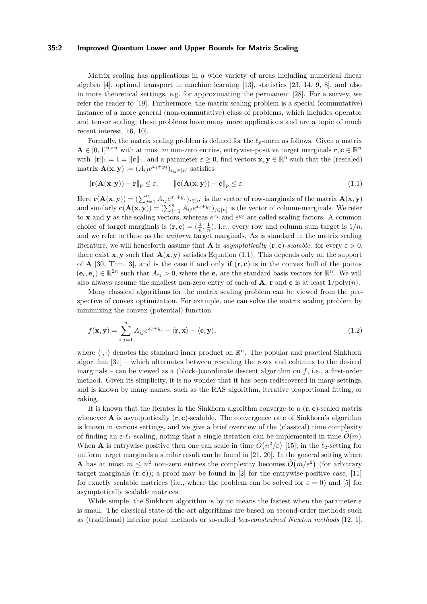### **35:2 Improved Quantum Lower and Upper Bounds for Matrix Scaling**

Matrix scaling has applications in a wide variety of areas including numerical linear algebra [4], optimal transport in machine learning [13], statistics [23, 14, 9, 8], and also in more theoretical settings, e.g. for approximating the permanent [28]. For a survey, we refer the reader to [19]. Furthermore, the matrix scaling problem is a special (commutative) instance of a more general (non-commutative) class of problems, which includes operator and tensor scaling; these problems have many more applications and are a topic of much recent interest [16, 10].

Formally, the matrix scaling problem is defined for the *ℓp*-norm as follows. Given a matrix  $\mathbf{A} \in [0,1]^{n \times n}$  with at most *m* non-zero entries, entrywise-positive target marginals  $\mathbf{r}, \mathbf{c} \in \mathbb{R}^n$ with  $\|\mathbf{r}\|_1 = 1 = \|\mathbf{c}\|_1$ , and a parameter  $\varepsilon \geq 0$ , find vectors  $\mathbf{x}, \mathbf{y} \in \mathbb{R}^n$  such that the (rescaled)  $\text{matrix } \mathbf{A}(\mathbf{x}, \mathbf{y}) := (A_{ij}e^{x_i + y_j})_{i,j \in [n]} \text{ satisfies}$ 

$$
\|\mathbf{r}(\mathbf{A}(\mathbf{x}, \mathbf{y})) - \mathbf{r}\|_{p} \le \varepsilon, \qquad \|\mathbf{c}(\mathbf{A}(\mathbf{x}, \mathbf{y})) - \mathbf{c}\|_{p} \le \varepsilon. \tag{1.1}
$$

Here  $\mathbf{r}(\mathbf{A}(\mathbf{x}, \mathbf{y})) = \left(\sum_{j=1}^n A_{ij} e^{x_i + y_j}\right)_{i \in [n]}$  is the vector of row-marginals of the matrix  $\mathbf{A}(\mathbf{x}, \mathbf{y})$ and similarly  $\mathbf{c}(\mathbf{A}(\mathbf{x}, \mathbf{y})) = (\sum_{i=1}^{n} A_{ij} e^{x_i + y_j})_{j \in [n]}$  is the vector of column-marginals. We refer to **x** and **y** as the scaling vectors, whereas  $e^{x_i}$  and  $e^{y_j}$  are called scaling factors. A common choice of target marginals is  $(\mathbf{r}, \mathbf{c}) = (\frac{1}{n}, \frac{1}{n})$ , i.e., every row and column sum target is  $1/n$ , and we refer to these as the *uniform* target marginals. As is standard in the matrix scaling literature, we will henceforth assume that **A** is *asymptotically* (**r**, **c**)*-scalable*: for every  $\varepsilon > 0$ , there exist **x**, **y** such that  $\mathbf{A}(\mathbf{x}, \mathbf{y})$  satisfies Equation (1.1). This depends only on the support of **A** [30, Thm. 3], and is the case if and only if  $(\mathbf{r}, \mathbf{c})$  is in the convex hull of the points  $(\mathbf{e}_i, \mathbf{e}_j) \in \mathbb{R}^{2n}$  such that  $A_{ij} > 0$ , where the  $\mathbf{e}_i$  are the standard basis vectors for  $\mathbb{R}^n$ . We will also always assume the smallest non-zero entry of each of  $\bf{A}$ , **r** and **c** is at least  $1/poly(n)$ .

Many classical algorithms for the matrix scaling problem can be viewed from the perspective of convex optimization. For example, one can solve the matrix scaling problem by minimizing the convex (potential) function

$$
f(\mathbf{x}, \mathbf{y}) = \sum_{i,j=1}^{n} A_{ij} e^{x_i + y_j} - \langle \mathbf{r}, \mathbf{x} \rangle - \langle \mathbf{c}, \mathbf{y} \rangle, \tag{1.2}
$$

where  $\langle \cdot, \cdot \rangle$  denotes the standard inner product on  $\mathbb{R}^n$ . The popular and practical Sinkhorn algorithm [31] – which alternates between rescaling the rows and columns to the desired marginals – can be viewed as a (block-)coordinate descent algorithm on *f*, i.e., a first-order method. Given its simplicity, it is no wonder that it has been rediscovered in many settings, and is known by many names, such as the RAS algorithm, iterative proportional fitting, or raking.

It is known that the iterates in the Sinkhorn algorithm converge to a  $(\mathbf{r}, \mathbf{c})$ -scaled matrix whenever  $\bf{A}$  is asymptotically  $(\bf{r}, \bf{c})$ -scalable. The convergence rate of Sinkhorn's algorithm is known in various settings, and we give a brief overview of the (classical) time complexity of finding an  $\varepsilon$ - $\ell_1$ -scaling, noting that a single iteration can be implemented in time  $\tilde{O}(m)$ . When **A** is entrywise positive then one can scale in time  $\widetilde{O}(n^2/\varepsilon)$  [15]; in the  $\ell_2$ -setting for uniform target marginals a similar result can be found in [21, 20]. In the general setting where **A** has at most  $m \leq n^2$  non-zero entries the complexity becomes  $\widetilde{O}(m/\varepsilon^2)$  (for arbitrary target marginals  $(r, c)$ ); a proof may be found in [2] for the entrywise-positive case, [11] for exactly scalable matrices (i.e., where the problem can be solved for  $\varepsilon = 0$ ) and [5] for asymptotically scalable matrices.

While simple, the Sinkhorn algorithm is by no means the fastest when the parameter *ε* is small. The classical state-of-the-art algorithms are based on second-order methods such as (traditional) interior point methods or so-called *box-constrained Newton methods* [12, 1],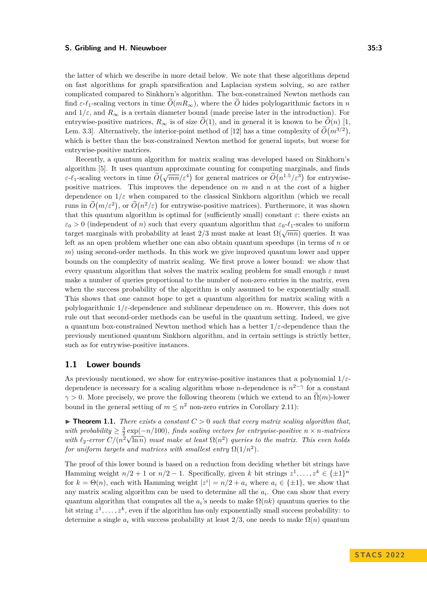the latter of which we describe in more detail below. We note that these algorithms depend on fast algorithms for graph sparsification and Laplacian system solving, so are rather complicated compared to Sinkhorn's algorithm. The box-constrained Newton methods can find  $\varepsilon$ - $\ell_1$ -scaling vectors in time  $\tilde{O}(mR_\infty)$ , where the  $\tilde{O}$  hides polylogarithmic factors in *n* and  $1/\varepsilon$ , and  $R_{\infty}$  is a certain diameter bound (made precise later in the introduction). For entrywise-positive matrices,  $R_{\infty}$  is of size  $\tilde{O}(1)$ , and in general it is known to be  $\tilde{O}(n)$  [1, Lem. 3.3. Alternatively, the interior-point method of [12] has a time complexity of  $O(m^{3/2})$ , which is better than the box-constrained Newton method for general inputs, but worse for entrywise-positive matrices.

Recently, a quantum algorithm for matrix scaling was developed based on Sinkhorn's algorithm [5]. It uses quantum approximate counting for computing marginals, and finds *ε*-*ℓ*<sub>1</sub>-scaling vectors in time  $\tilde{O}(\sqrt{mn}/\varepsilon^4)$  for general matrices or  $\tilde{O}(n^{1.5}/\varepsilon^3)$  for entrywisepositive matrices. This improves the dependence on *m* and *n* at the cost of a higher dependence on  $1/\varepsilon$  when compared to the classical Sinkhorn algorithm (which we recall runs in  $\tilde{O}(m/\varepsilon^2)$ , or  $\tilde{O}(n^2/\varepsilon)$  for entrywise-positive matrices). Furthermore, it was shown that this quantum algorithm is optimal for (sufficiently small) constant  $\varepsilon$ : there exists an  $\varepsilon_0 > 0$  (independent of *n*) such that every quantum algorithm that  $\varepsilon_0$ - $\ell_1$ -scales to uniform target marginals with probability at least  $2/3$  must make at least  $\Omega(\sqrt{mn})$  queries. It was left as an open problem whether one can also obtain quantum speedups (in terms of *n* or *m*) using second-order methods. In this work we give improved quantum lower and upper bounds on the complexity of matrix scaling. We first prove a lower bound: we show that every quantum algorithm that solves the matrix scaling problem for small enough  $\varepsilon$  must make a number of queries proportional to the number of non-zero entries in the matrix, even when the success probability of the algorithm is only assumed to be exponentially small. This shows that one cannot hope to get a quantum algorithm for matrix scaling with a polylogarithmic 1*/ε*-dependence and sublinear dependence on *m*. However, this does not rule out that second-order methods can be useful in the quantum setting. Indeed, we give a quantum box-constrained Newton method which has a better 1*/ε*-dependence than the previously mentioned quantum Sinkhorn algorithm, and in certain settings is strictly better, such as for entrywise-positive instances.

### **1.1 Lower bounds**

As previously mentioned, we show for entrywise-positive instances that a polynomial 1*/ε*dependence is necessary for a scaling algorithm whose *n*-dependence is *n* 2−*γ* for a constant  $\gamma > 0$ . More precisely, we prove the following theorem (which we extend to an  $\tilde{\Omega}(m)$ -lower bound in the general setting of  $m \leq n^2$  non-zero entries in Corollary 2.11):

 $\triangleright$  **Theorem 1.1.** *There exists a constant*  $C > 0$  *such that every matrix scaling algorithm that,* with probability  $\geq \frac{3}{2} \exp(-n/100)$ *, finds scaling vectors for entrywise-positive*  $n \times n$ *-matrices* with  $\ell_2$ -error  $C/(n^2\sqrt{\ln n})$  *must make at least*  $\Omega(n^2)$  *queries to the matrix. This even holds for uniform targets and matrices with smallest entry*  $\Omega(1/n^2)$ *.* 

The proof of this lower bound is based on a reduction from deciding whether bit strings have Hamming weight  $n/2 + 1$  or  $n/2 - 1$ . Specifically, given *k* bit strings  $z^1, \ldots, z^k \in {\pm 1}^n$ for  $k = \Theta(n)$ , each with Hamming weight  $|z^i| = n/2 + a_i$  where  $a_i \in {\pm 1}$ , we show that any matrix scaling algorithm can be used to determine all the *a<sup>i</sup>* . One can show that every quantum algorithm that computes all the  $a_i$ 's needs to make  $\Omega(nk)$  quantum queries to the bit string  $z^1, \ldots, z^k$ , even if the algorithm has only exponentially small success probability: to determine a single  $a_i$  with success probability at least  $2/3$ , one needs to make  $\Omega(n)$  quantum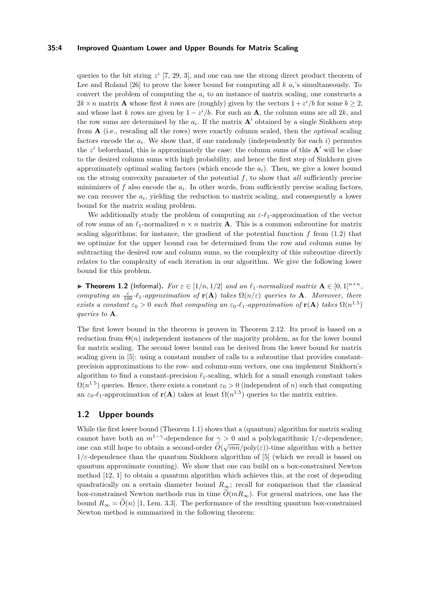### **35:4 Improved Quantum Lower and Upper Bounds for Matrix Scaling**

queries to the bit string  $z^i$  [7, 29, 3], and one can use the strong direct product theorem of Lee and Roland [26] to prove the lower bound for computing all  $k$   $a_i$ 's simultaneously. To convert the problem of computing the  $a_i$  to an instance of matrix scaling, one constructs a  $2k \times n$  matrix **A** whose first *k* rows are (roughly) given by the vectors  $1 + z^i/b$  for some  $b \geq 2$ , and whose last *k* rows are given by  $1 - z^i/b$ . For such an **A**, the column sums are all 2*k*, and the row sums are determined by the  $a_i$ . If the matrix  $A'$  obtained by a single Sinkhorn step from **A** (i.e., rescaling all the rows) were exactly column scaled, then the *optimal* scaling factors encode the  $a_i$ . We show that, if one randomly (independently for each  $i$ ) permutes the  $z^i$  beforehand, this is approximately the case: the column sums of this  $A'$  will be close to the desired column sums with high probability, and hence the first step of Sinkhorn gives approximately optimal scaling factors (which encode the  $a_i$ ). Then, we give a lower bound on the strong convexity parameter of the potential *f*, to show that *all* sufficiently precise minimizers of  $f$  also encode the  $a_i$ . In other words, from sufficiently precise scaling factors, we can recover the  $a_i$ , yielding the reduction to matrix scaling, and consequently a lower bound for the matrix scaling problem.

We additionally study the problem of computing an  $\varepsilon-\ell_1$ -approximation of the vector of row sums of an  $\ell_1$ -normalized  $n \times n$  matrix **A**. This is a common subroutine for matrix scaling algorithms; for instance, the gradient of the potential function  $f$  from  $(1.2)$  that we optimize for the upper bound can be determined from the row and column sums by subtracting the desired row and column sums, so the complexity of this subroutine directly relates to the complexity of each iteration in our algorithm. We give the following lower bound for this problem.

▶ **Theorem 1.2** (Informal). For  $\varepsilon \in [1/n, 1/2]$  and an  $\ell_1$ -normalized matrix  $\mathbf{A} \in [0, 1]^{n \times n}$ , *computing an*  $\frac{\varepsilon}{100}$ - $\ell_1$ -approximation of  $\mathbf{r}(\mathbf{A})$  *takes*  $\Omega(n/\varepsilon)$  *queries to* **A***. Moreover, there exists a constant*  $\varepsilon_0 > 0$  *such that computing an*  $\varepsilon_0$ - $\ell_1$ -approximation of **r**(**A**) *takes*  $\Omega(n^{1.5})$ *queries to* **A***.*

The first lower bound in the theorem is proven in Theorem 2.12. Its proof is based on a reduction from  $\Theta(n)$  independent instances of the majority problem, as for the lower bound for matrix scaling. The second lower bound can be derived from the lower bound for matrix scaling given in [5]: using a constant number of calls to a subroutine that provides constantprecision approximations to the row- and column-sum vectors, one can implement Sinkhorn's algorithm to find a constant-precision *ℓ*1-scaling, which for a small enough constant takes  $\Omega(n^{1.5})$  queries. Hence, there exists a constant  $\varepsilon_0 > 0$  (independent of *n*) such that computing an  $\varepsilon_0$ - $\ell_1$ -approximation of **r**(**A**) takes at least  $\Omega(n^{1.5})$  queries to the matrix entries.

### **1.2 Upper bounds**

While the first lower bound (Theorem 1.1) shows that a (quantum) algorithm for matrix scaling cannot have both an  $m^{1-\gamma}$ -dependence for  $\gamma > 0$  and a polylogarithmic  $1/\varepsilon$ -dependence, one can still hope to obtain a second-order  $\widetilde{O}(\sqrt{mn}/poly(\varepsilon))$ -time algorithm with a better  $1/\varepsilon$ -dependence than the quantum Sinkhorn algorithm of [5] (which we recall is based on quantum approximate counting). We show that one can build on a box-constrained Newton method [12, 1] to obtain a quantum algorithm which achieves this, at the cost of depending quadratically on a certain diameter bound  $R_{\infty}$ ; recall for comparison that the classical box-constrained Newton methods run in time  $\tilde{O}(mR_\infty)$ . For general matrices, one has the bound  $R_{\infty} = \tilde{O}(n)$  [1, Lem. 3.3]. The performance of the resulting quantum box-constrained Newton method is summarized in the following theorem: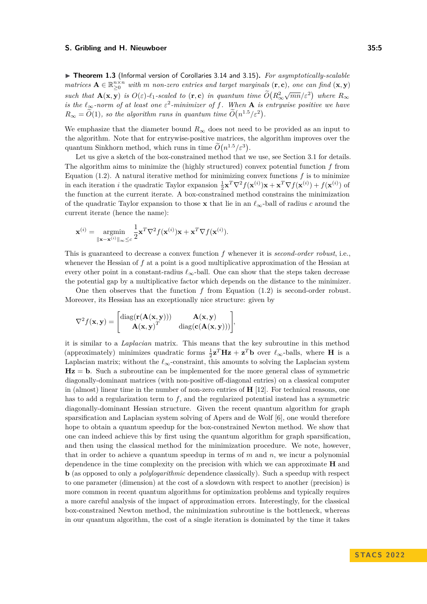▶ **Theorem 1.3** (Informal version of Corollaries 3.14 and 3.15). For asymptotically-scalable  $matrices \mathbf{A} \in \mathbb{R}_{\geq 0}^{n \times n}$  with *m non-zero entries and target marginals*  $(\mathbf{r}, \mathbf{c})$ *, one can find*  $(\mathbf{x}, \mathbf{y})$ *such that*  $\mathbf{A}(\mathbf{x}, \mathbf{y})$  *is*  $O(\varepsilon)$ *-ℓ*<sub>1</sub>*-scaled to* (**r**, **c**) *in quantum time*  $O(R_{\infty}^2)$  $\sqrt{mn}/\varepsilon^2$  where  $R_\infty$ *is the*  $\ell_{\infty}$ -norm of at least one  $\varepsilon^2$ -minimizer of f. When **A** *is entrywise positive we have*  $R_{\infty} = \tilde{O}(1)$ , so the algorithm runs in quantum time  $\tilde{O}(n^{1.5}/\varepsilon^2)$ .

We emphasize that the diameter bound  $R_{\infty}$  does not need to be provided as an input to the algorithm. Note that for entrywise-positive matrices, the algorithm improves over the quantum Sinkhorn method, which runs in time  $\tilde{O}(n^{1.5}/\varepsilon^3)$ .

Let us give a sketch of the box-constrained method that we use, see Section 3.1 for details. The algorithm aims to minimize the (highly structured) convex potential function *f* from Equation (1.2). A natural iterative method for minimizing convex functions  $f$  is to minimize in each iteration *i* the quadratic Taylor expansion  $\frac{1}{2} \mathbf{x}^T \nabla^2 f(\mathbf{x}^{(i)}) \mathbf{x} + \mathbf{x}^T \nabla f(\mathbf{x}^{(i)}) + f(\mathbf{x}^{(i)})$  of the function at the current iterate. A box-constrained method constrains the minimization of the quadratic Taylor expansion to those **x** that lie in an *ℓ*∞-ball of radius *c* around the current iterate (hence the name):

$$
\mathbf{x}^{(i)} = \operatorname*{argmin}_{\|\mathbf{x} - \mathbf{x}^{(i)}\|_{\infty} \leq c} \frac{1}{2} \mathbf{x}^T \nabla^2 f(\mathbf{x}^{(i)}) \mathbf{x} + \mathbf{x}^T \nabla f(\mathbf{x}^{(i)}).
$$

This is guaranteed to decrease a convex function *f* whenever it is *second-order robust*, i.e., whenever the Hessian of f at a point is a good multiplicative approximation of the Hessian at every other point in a constant-radius  $\ell_{\infty}$ -ball. One can show that the steps taken decrease the potential gap by a multiplicative factor which depends on the distance to the minimizer.

One then observes that the function *f* from Equation (1.2) is second-order robust. Moreover, its Hessian has an exceptionally nice structure: given by

$$
\nabla^2 f(\mathbf{x}, \mathbf{y}) = \begin{bmatrix} \text{diag}(\mathbf{r}(\mathbf{A}(\mathbf{x}, \mathbf{y}))) & \mathbf{A}(\mathbf{x}, \mathbf{y}) \\ \mathbf{A}(\mathbf{x}, \mathbf{y})^T & \text{diag}(\mathbf{c}(\mathbf{A}(\mathbf{x}, \mathbf{y}))) \end{bmatrix},
$$

it is similar to a *Laplacian* matrix. This means that the key subroutine in this method (approximately) minimizes quadratic forms  $\frac{1}{2}z^T Hz + z^T b$  over  $\ell_{\infty}$ -balls, where **H** is a Laplacian matrix; without the  $\ell_{\infty}$ -constraint, this amounts to solving the Laplacian system **Hz** = **b**. Such a subroutine can be implemented for the more general class of symmetric diagonally-dominant matrices (with non-positive off-diagonal entries) on a classical computer in (almost) linear time in the number of non-zero entries of **H** [12]. For technical reasons, one has to add a regularization term to *f*, and the regularized potential instead has a symmetric diagonally-dominant Hessian structure. Given the recent quantum algorithm for graph sparsification and Laplacian system solving of Apers and de Wolf [6], one would therefore hope to obtain a quantum speedup for the box-constrained Newton method. We show that one can indeed achieve this by first using the quantum algorithm for graph sparsification, and then using the classical method for the minimization procedure. We note, however, that in order to achieve a quantum speedup in terms of *m* and *n*, we incur a polynomial dependence in the time complexity on the precision with which we can approximate **H** and **b** (as opposed to only a *polylogarithmic* dependence classically). Such a speedup with respect to one parameter (dimension) at the cost of a slowdown with respect to another (precision) is more common in recent quantum algorithms for optimization problems and typically requires a more careful analysis of the impact of approximation errors. Interestingly, for the classical box-constrained Newton method, the minimization subroutine is the bottleneck, whereas in our quantum algorithm, the cost of a single iteration is dominated by the time it takes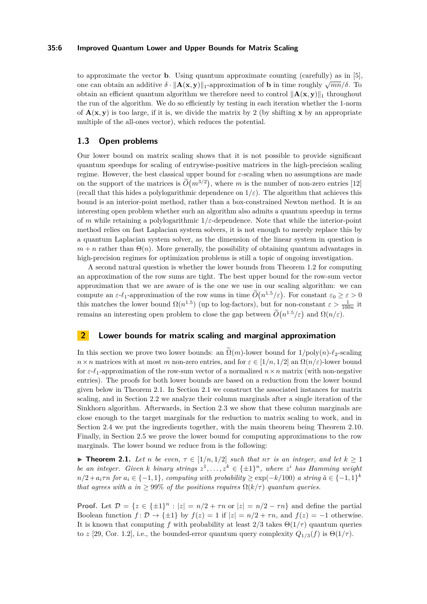### **35:6 Improved Quantum Lower and Upper Bounds for Matrix Scaling**

to approximate the vector **b**. Using quantum approximate counting (carefully) as in [5],  $\frac{d}{dt}$  can obtain an additive *δ* ·  $||$ **A**(**x***,***y**)||<sub>1</sub>-approximation of **b** in time roughly  $\sqrt{mn}/δ$ . To obtain an efficient quantum algorithm we therefore need to control ∥**A**(**x***,* **y**)∥<sup>1</sup> throughout the run of the algorithm. We do so efficiently by testing in each iteration whether the 1-norm of  $\mathbf{A}(\mathbf{x}, \mathbf{y})$  is too large, if it is, we divide the matrix by 2 (by shifting **x** by an appropriate multiple of the all-ones vector), which reduces the potential.

### **1.3 Open problems**

Our lower bound on matrix scaling shows that it is not possible to provide significant quantum speedups for scaling of entrywise-positive matrices in the high-precision scaling regime. However, the best classical upper bound for *ε*-scaling when no assumptions are made on the support of the matrices is  $O(m^{3/2})$ , where *m* is the number of non-zero entries [12] (recall that this hides a polylogarithmic dependence on  $1/\varepsilon$ ). The algorithm that achieves this bound is an interior-point method, rather than a box-constrained Newton method. It is an interesting open problem whether such an algorithm also admits a quantum speedup in terms of *m* while retaining a polylogarithmic 1*/ε*-dependence. Note that while the interior-point method relies on fast Laplacian system solvers, it is not enough to merely replace this by a quantum Laplacian system solver, as the dimension of the linear system in question is  $m + n$  rather than  $\Theta(n)$ . More generally, the possibility of obtaining quantum advantages in high-precision regimes for optimization problems is still a topic of ongoing investigation.

A second natural question is whether the lower bounds from Theorem 1.2 for computing an approximation of the row sums are tight. The best upper bound for the row-sum vector approximation that we are aware of is the one we use in our scaling algorithm: we can compute an  $\varepsilon \text{-}\ell_1$ -approximation of the row sums in time  $\widetilde{O}(n^{1.5}/\varepsilon)$ . For constant  $\varepsilon_0 \geq \varepsilon > 0$ this matches the lower bound  $\Omega(n^{1.5})$  (up to log-factors), but for non-constant  $\varepsilon > \frac{1}{100n}$  it remains an interesting open problem to close the gap between  $\tilde{O}(n^{1.5}/\varepsilon)$  and  $\Omega(n/\varepsilon)$ .

### **2 Lower bounds for matrix scaling and marginal approximation**

In this section we prove two lower bounds: an  $\tilde{\Omega}(m)$ -lower bound for  $1/poly(n)-\ell_2$ -scaling  $n \times n$  matrices with at most *m* non-zero entries, and for  $\varepsilon \in [1/n, 1/2]$  an  $\Omega(n/\varepsilon)$ -lower bound for *ε*-*ℓ*1-approximation of the row-sum vector of a normalized *n*×*n* matrix (with non-negative entries). The proofs for both lower bounds are based on a reduction from the lower bound given below in Theorem 2.1. In Section 2.1 we construct the associated instances for matrix scaling, and in Section 2.2 we analyze their column marginals after a single iteration of the Sinkhorn algorithm. Afterwards, in Section 2.3 we show that these column marginals are close enough to the target marginals for the reduction to matrix scaling to work, and in Section 2.4 we put the ingredients together, with the main theorem being Theorem 2.10. Finally, in Section 2.5 we prove the lower bound for computing approximations to the row marginals. The lower bound we reduce from is the following:

▶ **Theorem 2.1.** *Let n be even,*  $\tau \in [1/n, 1/2]$  *such that*  $n\tau$  *is an integer, and let*  $k \ge 1$ *be an integer. Given k binary strings*  $z^1, \ldots, z^k \in \{\pm 1\}^n$ , where  $z^i$  has Hamming weight  $n/2 + a_i \tau n$  *for*  $a_i \in \{-1, 1\}$ *, computing with probability*  $\geq \exp(-k/100)$  *a string*  $\tilde{a} \in \{-1, 1\}^k$ *that agrees with a in*  $\geq 99\%$  *of the positions requires*  $\Omega(k/\tau)$  *quantum queries.* 

**Proof.** Let  $\mathcal{D} = \{z \in \{\pm 1\}^n : |z| = n/2 + \tau n \text{ or } |z| = n/2 - \tau n\}$  and define the partial Boolean function  $f: \mathcal{D} \to \{\pm 1\}$  by  $f(z) = 1$  if  $|z| = n/2 + \tau n$ , and  $f(z) = -1$  otherwise. It is known that computing *f* with probability at least  $2/3$  takes  $\Theta(1/\tau)$  quantum queries to *z* [29, Cor. 1.2], i.e., the bounded-error quantum query complexity  $Q_{1/3}(f)$  is  $\Theta(1/\tau)$ .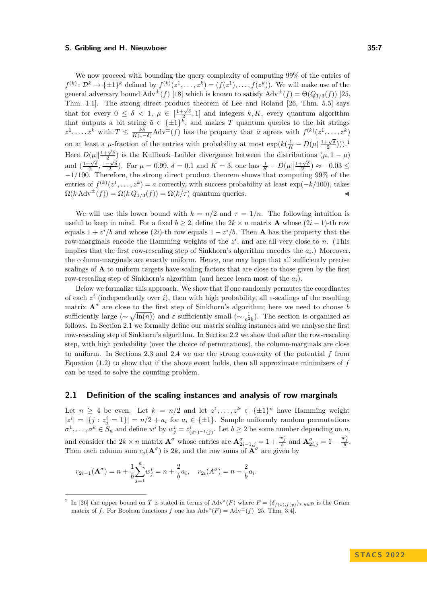We now proceed with bounding the query complexity of computing 99% of the entries of  $f^{(k)}: \mathcal{D}^k \to \{\pm 1\}^k$  defined by  $f^{(k)}(z^1,\ldots,z^k) = (f(z^1),\ldots,f(z^k)).$  We will make use of the general adversary bound  $\text{Adv}^{\pm}(f)$  [18] which is known to satisfy  $\text{Adv}^{\pm}(f) = \Theta(Q_{1/3}(f))$  [25, Thm. 1.1]. The strong direct product theorem of Lee and Roland [26, Thm. 5.5] says that for every  $0 \le \delta < 1$ ,  $\mu \in \left[\frac{1+\sqrt{\delta}}{2}, 1\right]$  and integers  $k, K$ , every quantum algorithm that outputs a bit string  $\tilde{a} \in {\pm 1}^k$ , and makes *T* quantum queries to the bit strings  $z^1, \ldots, z^k$  with  $T \leq \frac{k\delta}{K(1-\delta)}$  Adv<sup> $\pm$ </sup>(*f*) has the property that  $\tilde{a}$  agrees with  $f^{(k)}(z^1, \ldots, z^k)$ on at least a  $\mu$ -fraction of the entries with probability at most  $\exp(k(\frac{1}{K} - D(\mu \| \frac{1+\sqrt{\delta}}{2})))$ .<sup>1</sup> Here  $D(\mu || \frac{1+\sqrt{\delta}}{2})$  is the Kullback–Leibler divergence between the distributions  $(\mu, 1 - \mu)$ and  $\left(\frac{1+\sqrt{\delta}}{2}, \frac{1-\sqrt{\delta}}{2}\right)$ . For  $\mu = 0.99, \delta = 0.1$  and  $K = 3$ , one has  $\frac{1}{K} - D(\mu \| \frac{1+\sqrt{\delta}}{2}) \approx -0.03 \le$ −1*/*100. Therefore, the strong direct product theorem shows that computing 99% of the entries of  $f^{(k)}(z^1, \ldots, z^k) = a$  correctly, with success probability at least exp( $-k/100$ ), takes  $\Omega(k \text{ Adv}^{\pm}(f)) = \Omega(k Q_{1/3}(f)) = \Omega(k/\tau)$  quantum queries.

We will use this lower bound with  $k = n/2$  and  $\tau = 1/n$ . The following intuition is useful to keep in mind. For a fixed  $b \geq 2$ , define the  $2k \times n$  matrix **A** whose  $(2i - 1)$ -th row equals  $1 + z^i/b$  and whose (2*i*)-th row equals  $1 - z^i/b$ . Then **A** has the property that the row-marginals encode the Hamming weights of the  $z^i$ , and are all very close to *n*. (This implies that the first row-rescaling step of Sinkhorn's algorithm encodes the  $a_i$ .) Moreover, the column-marginals are exactly uniform. Hence, one may hope that all sufficiently precise scalings of **A** to uniform targets have scaling factors that are close to those given by the first row-rescaling step of Sinkhorn's algorithm (and hence learn most of the *ai*).

Below we formalize this approach. We show that if one randomly permutes the coordinates of each  $z^i$  (independently over *i*), then with high probability, all  $\varepsilon$ -scalings of the resulting matrix  $A^{\sigma}$  are close to the first step of Sinkhorn's algorithm; here we need to choose *b* sufficiently large  $(\sim \sqrt{\ln(n)})$  and  $\varepsilon$  sufficiently small  $(\sim \frac{1}{n^2b})$ . The section is organized as follows. In Section 2.1 we formally define our matrix scaling instances and we analyse the first row-rescaling step of Sinkhorn's algorithm. In Section 2.2 we show that after the row-rescaling step, with high probability (over the choice of permutations), the column-marginals are close to uniform. In Sections 2.3 and 2.4 we use the strong convexity of the potential *f* from Equation (1.2) to show that if the above event holds, then all approximate minimizers of *f* can be used to solve the counting problem.

### **2.1 Definition of the scaling instances and analysis of row marginals**

Let  $n \geq 4$  be even. Let  $k = n/2$  and let  $z^1, \ldots, z^k \in {\{\pm 1\}}^n$  have Hamming weight  $|z^i| = |\{j : z^i_j = 1\}| = n/2 + a_i$  for  $a_i \in {\pm 1}$ . Sample uniformly random permutations  $\sigma^1, \ldots, \sigma^k \in S_n$  and define  $w^i$  by  $w^i_j = z^i_{(\sigma^i)^{-1}(j)}$ . Let  $b \geq 2$  be some number depending on *n*, and consider the  $2k \times n$  matrix  $\mathbf{A}^{\sigma}$  whose entries are  $\mathbf{A}_{2i-1,j}^{\sigma} = 1 + \frac{w_j^i}{b}$  and  $\mathbf{A}_{2i,j}^{\sigma} = 1 - \frac{w_j^i}{b}$ . Then each column sum  $c_j(\mathbf{A}^{\sigma})$  is 2k, and the row sums of  $\mathbf{A}^{\sigma}$  are given by

$$
r_{2i-1}(\mathbf{A}^{\sigma}) = n + \frac{1}{b} \sum_{j=1}^{n} w_j^i = n + \frac{2}{b} a_i, \quad r_{2i}(A^{\sigma}) = n - \frac{2}{b} a_i.
$$

<sup>&</sup>lt;sup>1</sup> In [26] the upper bound on *T* is stated in terms of Adv<sup>\*</sup>(*F*) where  $F = (\delta_{f(x),f(y)})_{x,y \in \mathcal{D}}$  is the Gram matrix of *f*. For Boolean functions *f* one has  $\text{Adv}^*(F) = \text{Adv}^{\pm}(f)$  [25, Thm. 3.4].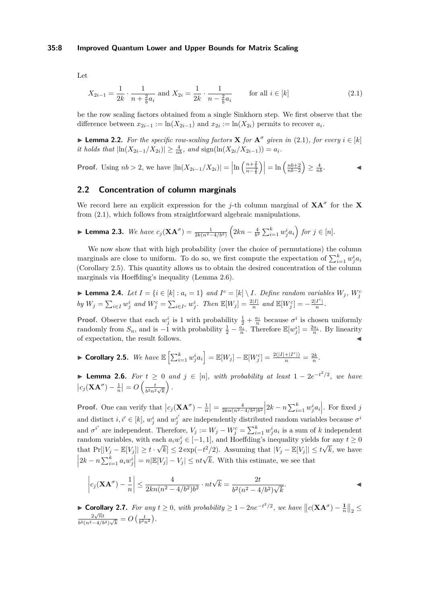Let

$$
X_{2i-1} = \frac{1}{2k} \cdot \frac{1}{n + \frac{2}{b}a_i} \text{ and } X_{2i} = \frac{1}{2k} \cdot \frac{1}{n - \frac{2}{b}a_i} \qquad \text{for all } i \in [k]
$$
 (2.1)

be the row scaling factors obtained from a single Sinkhorn step. We first observe that the difference between  $x_{2i-1} := \ln(X_{2i-1})$  and  $x_{2i} := \ln(X_{2i})$  permits to recover  $a_i$ .

▶ **Lemma 2.2.** For the specific row-scaling factors **X** for  $A^{\sigma}$  given in (2.1), for every  $i \in [k]$ *it holds that*  $|\ln(X_{2i-1}/X_{2i})| \geq \frac{4}{nb}$ , and  $\text{sign}(\ln(X_{2i}/X_{2i-1})) = a_i$ .

**Proof.** Using 
$$
nb > 2
$$
, we have  $|\ln(X_{2i-1}/X_{2i})| = \left|\ln\left(\frac{n+\frac{2}{b}}{n-\frac{2}{b}}\right)\right| = \ln\left(\frac{nb+2}{nb-2}\right) \ge \frac{4}{nb}$ .

### **2.2 Concentration of column marginals**

We record here an explicit expression for the *j*-th column marginal of  $XA^{\sigma}$  for the X from (2.1), which follows from straightforward algebraic manipulations.

$$
\blacktriangleright \textbf{Lemma 2.3.} \ \textit{We have} \ c_j(\mathbf{X}\mathbf{A}^\sigma) = \frac{1}{2k(n^2 - 4/b^2)} \left( 2kn - \frac{4}{b^2} \sum_{i=1}^k w_j^i a_i \right) \ \textit{for} \ j \in [n].
$$

We now show that with high probability (over the choice of permutations) the column marginals are close to uniform. To do so, we first compute the expectation of  $\sum_{i=1}^{k} w_j^i a_i$ (Corollary 2.5). This quantity allows us to obtain the desired concentration of the column marginals via Hoeffding's inequality (Lemma 2.6).

**Lemma 2.4.** Let  $I = \{i \in [k] : a_i = 1\}$  and  $I^c = [k] \setminus I$ . Define random variables  $W_j$ ,  $W_j^c$ by  $W_j = \sum_{i \in I} w_j^i$  and  $W_j^c = \sum_{i \in I^c} w_j^i$ . Then  $\mathbb{E}[W_j] = \frac{2|I|}{n}$  and  $\mathbb{E}[W_j^c] = -\frac{2|I^c|}{n}$  $\frac{1}{n}$ .

**Proof.** Observe that each  $w_j^i$  is 1 with probability  $\frac{1}{2} + \frac{a_i}{n}$  because  $\sigma^i$  is chosen uniformly randomly from  $S_n$ , and is  $-1$  with probability  $\frac{1}{2} - \frac{\tilde{a_i}}{n}$ . Therefore  $\mathbb{E}[w_j^i] = \frac{2a_i}{n}$ . By linearity of expectation, the result follows.

► Corollary 2.5. We have 
$$
\mathbb{E}\left[\sum_{i=1}^{k} w_j^i a_i\right] = \mathbb{E}[W_j] - \mathbb{E}[W_j^c] = \frac{2(|I| + |I^c|)}{n} = \frac{2k}{n}
$$
.

▶ **Lemma 2.6.** *For t* ≥ 0 *and j* ∈ [*n*]*, with probability at least* 1 − 2*e* −*t* <sup>2</sup>*/*2 *, we have*  $\left| c_j(\mathbf{X}\mathbf{A}^\sigma)-\frac{1}{n}\right| = O\left(\frac{t}{b^2n^2}\right)$  $rac{t}{b^2n^2\sqrt{k}}$ *.*

**Proof.** One can verify that  $|c_j(\mathbf{X}\mathbf{A}^\sigma) - \frac{1}{n}| = \frac{4}{2kn(n^2-4/b^2)b^2} |2k - n\sum_{i=1}^k w_j^i a_i|$ . For fixed j and distinct  $i, i' \in [k]$ ,  $w_j^i$  and  $w_j^{i'}$  are independently distributed random variables because  $\sigma^i$ and  $\sigma^{i'}$  are independent. Therefore,  $V_j := W_j - W_j^c = \sum_{i=1}^k w_j^i a_i$  is a sum of *k* independent random variables, with each  $a_i w_j^i \in [-1,1]$ , and Hoeffding's inequality yields for any  $t \ge 0$ that  $Pr[|V_j - \mathbb{E}[V_j]| \ge t \cdot \sqrt{k}] \le 2 \exp(-t^2/2)$ . Assuming that  $|V_j - \mathbb{E}[V_j]| \le t\sqrt{k}$ , we have  $\left| 2k - n \sum_{i=1}^k a_i w_j^i \right| = n|\mathbb{E}[V_j] - V_j| \le nt\sqrt{k}$ . With this estimate, we see that

$$
\left| c_j (\mathbf{X} \mathbf{A}^{\sigma}) - \frac{1}{n} \right| \le \frac{4}{2kn(n^2 - 4/b^2)b^2} \cdot nt\sqrt{k} = \frac{2t}{b^2(n^2 - 4/b^2)\sqrt{k}}.
$$

► **Corollary 2.7.** For any  $t \ge 0$ , with probability  $\ge 1 - 2ne^{-t^2/2}$ , we have  $||c(\mathbf{XA}^{\sigma}) - \frac{1}{n}||_2 \le$  $\sqrt{n}t$  $\frac{2\sqrt{n}t}{b^2(n^2-4/b^2)\sqrt{k}} = O\left(\frac{t}{b^2n^2}\right)$ .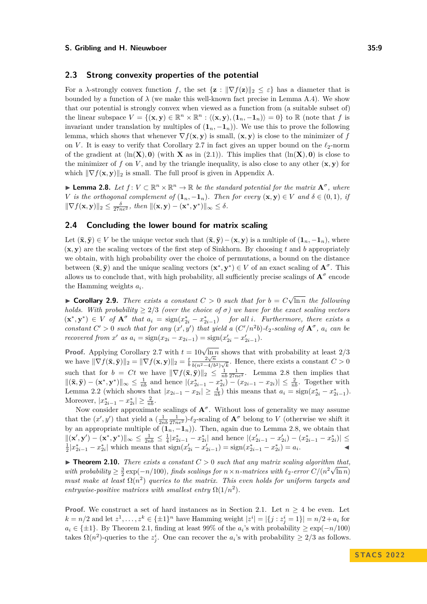### **2.3 Strong convexity properties of the potential**

For a *λ*-strongly convex function *f*, the set  $\{z : ||\nabla f(z)||_2 \leq \varepsilon\}$  has a diameter that is bounded by a function of  $\lambda$  (we make this well-known fact precise in Lemma A.4). We show that our potential is strongly convex when viewed as a function from (a suitable subset of) the linear subspace  $V = \{(\mathbf{x}, \mathbf{y}) \in \mathbb{R}^n \times \mathbb{R}^n : \langle (\mathbf{x}, \mathbf{y}), (\mathbf{1}_n, -\mathbf{1}_n) \rangle = 0\}$  to R (note that f is invariant under translation by multiples of  $(1_n, -1_n)$ ). We use this to prove the following lemma, which shows that whenever  $\nabla f(\mathbf{x}, \mathbf{y})$  is small,  $(\mathbf{x}, \mathbf{y})$  is close to the minimizer of *f* on *V*. It is easy to verify that Corollary 2.7 in fact gives an upper bound on the  $\ell_2$ -norm of the gradient at  $(\ln(X), 0)$  (with **X** as in (2.1)). This implies that  $(\ln(X), 0)$  is close to the minimizer of  $f$  on  $V$ , and by the triangle inequality, is also close to any other  $(\mathbf{x}, \mathbf{y})$  for which  $\|\nabla f(\mathbf{x}, \mathbf{y})\|_2$  is small. The full proof is given in Appendix A.

▶ **Lemma 2.8.** *Let*  $f: V \subset \mathbb{R}^n \times \mathbb{R}^n \to \mathbb{R}$  *be the standard potential for the matrix*  $\mathbf{A}^\sigma$ *, where V is the orthogonal complement of*  $(1_n, -1_n)$ *. Then for every*  $(\mathbf{x}, \mathbf{y}) \in V$  *and*  $\delta \in (0, 1)$ *, if*  $\|\nabla f(\mathbf{x}, \mathbf{y})\|_2 \leq \frac{\delta}{27ne^2}, \text{ then } \|(\mathbf{x}, \mathbf{y}) - (\mathbf{x}^*, \mathbf{y}^*)\|_{\infty} \leq \delta.$ 

### **2.4 Concluding the lower bound for matrix scaling**

Let  $(\bar{\mathbf{x}}, \bar{\mathbf{y}}) \in V$  be the unique vector such that  $(\bar{\mathbf{x}}, \bar{\mathbf{y}}) - (\mathbf{x}, \mathbf{y})$  is a multiple of  $(\mathbf{1}_n, -\mathbf{1}_n)$ , where  $(\mathbf{x}, \mathbf{y})$  are the scaling vectors of the first step of Sinkhorn. By choosing t and b appropriately we obtain, with high probability over the choice of permutations, a bound on the distance between  $(\bar{\mathbf{x}}, \bar{\mathbf{y}})$  and the unique scaling vectors  $(\mathbf{x}^*, \mathbf{y}^*) \in V$  of an exact scaling of  $\mathbf{A}^{\sigma}$ . This allows us to conclude that, with high probability, all sufficiently precise scalings of  $A^{\sigma}$  encode the Hamming weights *a<sup>i</sup>* .

▶ **Corollary 2.9.** *There exists a constant*  $C > 0$  *such that for*  $b = C \sqrt{ }$ ln *n the following holds. With probability*  $> 2/3$  *(over the choice of*  $\sigma$ *) we have for the exact scaling vectors*  $(\mathbf{x}^*, \mathbf{y}^*) \in V$  *of*  $\mathbf{A}^{\sigma}$  *that*  $a_i = \text{sign}(x_{2i}^* - x_{2i-1}^*)$  *for all i. Furthermore, there exists a* constant  $C' > 0$  such that for any  $(x', y')$  that yield a  $(C'/n^2b)$ - $\ell_2$ -scaling of  $A^{\sigma}$ ,  $a_i$  can be *recovered from*  $x'$  *as*  $a_i = \text{sign}(x_{2i} - x_{2i-1}) = \text{sign}(x'_{2i} - x'_{2i-1})$ *.* 

**Proof.** Applying Corollary 2.7 with  $t = 10\sqrt{\ln n}$  shows that with probability at least 2/3 we have  $\|\nabla f(\bar{\mathbf{x}}, \bar{\mathbf{y}})\|_2 = \|\nabla f(\mathbf{x}, \mathbf{y})\|_2 = \frac{t}{b}$ 2 √ *n*  $\frac{2\sqrt{n}}{b(n^2-4/b^2)\sqrt{k}}$ . Hence, there exists a constant *C* > 0 such that for  $b = Ct$  we have  $\|\nabla f(\bar{\mathbf{x}}, \bar{\mathbf{y}})\|_2 \leq \frac{1}{nb} \frac{1}{27ne^2}$ . Lemma 2.8 then implies that  $||(\bar{x}, \bar{y}) - (\mathbf{x}^*, \mathbf{y}^*)||_{\infty} \leq \frac{1}{nb}$  and hence  $|(x_{2i-1}^* - x_{2i}^*) - (x_{2i-1} - x_{2i})| \leq \frac{2}{nb}$ . Together with Lemma 2.2 (which shows that  $|x_{2i-1} - x_{2i}| \geq \frac{4}{nb}$ ) this means that  $a_i = \text{sign}(x_{2i}^* - x_{2i-1}^*)$ . Moreover,  $|x_{2i-1}^* - x_{2i}^*| \geq \frac{2}{nb}$ .

Now consider approximate scalings of  $A^{\sigma}$ . Without loss of generality we may assume that the  $(x', y')$  that yield a  $\left(\frac{1}{2nb}\frac{1}{27ne^2}\right)$ - $\ell_2$ -scaling of  $\mathbf{A}^{\sigma}$  belong to *V* (otherwise we shift it by an appropriate multiple of  $(1_n, -1_n)$ ). Then, again due to Lemma 2.8, we obtain that  $\|(x',y')-(x^*,y^*)\|_{\infty} \leq \frac{1}{2nb} \leq \frac{1}{4}|x_{2i-1}^*-x_{2i}^*|$  and hence  $|(x_{2i-1}'-x_{2i}')-(x_{2i-1}^*-x_{2i}^*)| \leq$  $\frac{1}{2}|x_{2i-1}^* - x_{2i}^*|$  which means that  $\text{sign}(x_{2i}^* - x_{2i-1}^*) = \text{sign}(x_{2i-1}^* - x_{2i}^*) = a_i$ .

▶ **Theorem 2.10.** *There exists a constant*  $C > 0$  *such that any matrix scaling algorithm that,* with probability  $\geq \frac{3}{2} \exp(-n/100)$ , finds scalings for  $n \times n$ -matrices with  $\ell_2$ -error  $C/(n^2 \sqrt{\ln n})$ *must make at least*  $\Omega(n^2)$  *queries to the matrix. This even holds for uniform targets and entrywise-positive matrices with smallest entry*  $\Omega(1/n^2)$ *.* 

**Proof.** We construct a set of hard instances as in Section 2.1. Let  $n \geq 4$  be even. Let  $k = n/2$  and let  $z^1, \ldots, z^k \in {\{\pm 1\}}^n$  have Hamming weight  $|z^i| = |\{j : z^i_j = 1\}| = n/2 + a_i$  for  $a_i \in {\pm 1}$ . By Theorem 2.1, finding at least 99% of the  $a_i$ 's with probability  $\geq \exp(-n/100)$ takes  $\Omega(n^2)$ -queries to the  $z_j^i$ . One can recover the  $a_i$ 's with probability  $\geq 2/3$  as follows.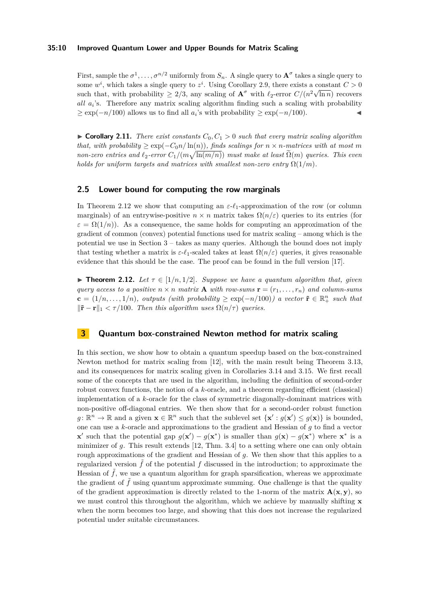### **35:10 Improved Quantum Lower and Upper Bounds for Matrix Scaling**

First, sample the  $\sigma^1, \ldots, \sigma^{n/2}$  uniformly from  $S_n$ . A single query to  $\mathbf{A}^{\sigma}$  takes a single query to some  $w^i$ , which takes a single query to  $z^i$ . Using Corollary 2.9, there exists a constant  $C > 0$ such that, with probability  $\geq 2/3$ , any scaling of  $\mathbf{A}^{\sigma}$  with  $\ell_2$ -error  $C/(n^2\sqrt{\ln n})$  recovers *all a<sup>i</sup>* 's. Therefore any matrix scaling algorithm finding such a scaling with probability  $\geq \exp(-n/100)$  allows us to find all *a<sub>i</sub>*'s with probability  $\geq \exp(-n/100)$ .

 $\triangleright$  **Corollary 2.11.** *There exist constants*  $C_0, C_1 > 0$  *such that every matrix scaling algorithm that, with probability*  $\geq \exp(-C_0 n / \ln(n))$ *, finds scalings for*  $n \times n$ *-matrices with at most m*  $n$ on-zero entries and  $\ell_2$ -error  $C_1/(m\sqrt{\ln(m/n)})$  *must make at least*  $\widetilde{\Omega}(m)$  *queries. This even holds for uniform targets and matrices with smallest non-zero entry*  $\Omega(1/m)$ *.* 

### **2.5 Lower bound for computing the row marginals**

In Theorem 2.12 we show that computing an *ε*-*ℓ*1-approximation of the row (or column marginals) of an entrywise-positive  $n \times n$  matrix takes  $\Omega(n/\varepsilon)$  queries to its entries (for  $\varepsilon = \Omega(1/n)$ . As a consequence, the same holds for computing an approximation of the gradient of common (convex) potential functions used for matrix scaling – among which is the potential we use in Section 3 – takes as many queries. Although the bound does not imply that testing whether a matrix is  $\varepsilon$ - $\ell_1$ -scaled takes at least  $\Omega(n/\varepsilon)$  queries, it gives reasonable evidence that this should be the case. The proof can be found in the full version [17].

**► Theorem 2.12.** Let  $\tau \in [1/n, 1/2]$ *. Suppose we have a quantum algorithm that, given query access to a positive*  $n \times n$  *matrix* **A** *with row-sums*  $\mathbf{r} = (r_1, \ldots, r_n)$  *and column-sums*  $\mathbf{c} = (1/n, \ldots, 1/n)$ , outputs (with probability  $\geq \exp(-n/100)$ ) a vector  $\tilde{\mathbf{r}} \in \mathbb{R}_+^n$  such that  $\|\tilde{\mathbf{r}} - \mathbf{r}\|_1 < \tau/100$ . Then this algorithm uses  $\Omega(n/\tau)$  queries.

### **3 Quantum box-constrained Newton method for matrix scaling**

In this section, we show how to obtain a quantum speedup based on the box-constrained Newton method for matrix scaling from [12], with the main result being Theorem 3.13, and its consequences for matrix scaling given in Corollaries 3.14 and 3.15. We first recall some of the concepts that are used in the algorithm, including the definition of second-order robust convex functions, the notion of a *k*-oracle, and a theorem regarding efficient (classical) implementation of a *k*-oracle for the class of symmetric diagonally-dominant matrices with non-positive off-diagonal entries. We then show that for a second-order robust function  $g: \mathbb{R}^n \to \mathbb{R}$  and a given  $\mathbf{x} \in \mathbb{R}^n$  such that the sublevel set  $\{\mathbf{x}' : g(\mathbf{x}') \leq g(\mathbf{x})\}$  is bounded, one can use a *k*-oracle and approximations to the gradient and Hessian of *g* to find a vector **x**<sup>'</sup> such that the potential gap  $g(\mathbf{x}') - g(\mathbf{x}^*)$  is smaller than  $g(\mathbf{x}) - g(\mathbf{x}^*)$  where  $\mathbf{x}^*$  is a minimizer of *g*. This result extends [12, Thm. 3.4] to a setting where one can only obtain rough approximations of the gradient and Hessian of *g*. We then show that this applies to a regularized version  $\tilde{f}$  of the potential f discussed in the introduction; to approximate the Hessian of  $\tilde{f}$ , we use a quantum algorithm for graph sparsification, whereas we approximate the gradient of  $\hat{f}$  using quantum approximate summing. One challenge is that the quality of the gradient approximation is directly related to the 1-norm of the matrix  $\mathbf{A}(\mathbf{x}, \mathbf{y})$ , so we must control this throughout the algorithm, which we achieve by manually shifting **x** when the norm becomes too large, and showing that this does not increase the regularized potential under suitable circumstances.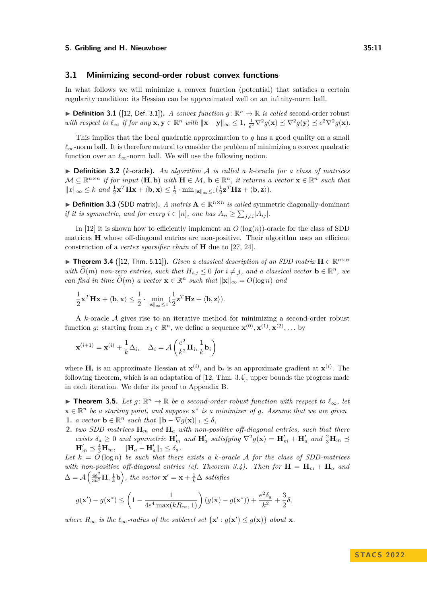#### **3.1 Minimizing second-order robust convex functions**

In what follows we will minimize a convex function (potential) that satisfies a certain regularity condition: its Hessian can be approximated well on an infinity-norm ball.

▶ **Definition 3.1** ([12, Def. 3.1]). *A convex function*  $g: \mathbb{R}^n \to \mathbb{R}$  *is called second-order robust* with respect to  $\ell_{\infty}$  if for any  $\mathbf{x}, \mathbf{y} \in \mathbb{R}^n$  with  $\|\mathbf{x} - \mathbf{y}\|_{\infty} \leq 1$ ,  $\frac{1}{e^2} \nabla^2 g(\mathbf{x}) \preceq \nabla^2 g(\mathbf{y}) \preceq e^2 \nabla^2 g(\mathbf{x})$ .

This implies that the local quadratic approximation to *g* has a good quality on a small  $\ell_{\infty}$ -norm ball. It is therefore natural to consider the problem of minimizing a convex quadratic function over an  $\ell_{\infty}$ -norm ball. We will use the following notion.

▶ **Definition 3.2** (*k*-oracle)**.** *An algorithm* A *is called a k*-oracle *for a class of matrices*  $\mathcal{M} \subseteq \mathbb{R}^{n \times n}$  *if for input*  $(\mathbf{H}, \mathbf{b})$  *with*  $\mathbf{H} \in \mathcal{M}$ ,  $\mathbf{b} \in \mathbb{R}^n$ , *it returns a vector*  $\mathbf{x} \in \mathbb{R}^n$  *such that*  $||x||_{\infty} \leq k$  and  $\frac{1}{2}\mathbf{x}^T \mathbf{H} \mathbf{x} + \langle \mathbf{b}, \mathbf{x} \rangle \leq \frac{1}{2} \cdot \min_{\|\mathbf{z}\|_{\infty} \leq 1} (\frac{1}{2}\mathbf{z}^T \mathbf{H} \mathbf{z} + \langle \mathbf{b}, \mathbf{z} \rangle).$ 

▶ **Definition 3.3** (SDD matrix). *A matrix*  $\mathbf{A} \in \mathbb{R}^{n \times n}$  *is called* symmetric diagonally-dominant *if it is symmetric, and for every*  $i \in [n]$ *, one has*  $A_{ii} \ge \sum_{j \ne i} |A_{ij}|$ *.* 

In [12] it is shown how to efficiently implement an  $O(\log(n))$ -oracle for the class of SDD matrices **H** whose off-diagonal entries are non-positive. Their algorithm uses an efficient construction of a *vertex sparsifier chain* of **H** due to [27, 24].

▶ **Theorem 3.4** ([12, Thm. 5.11]). *Given a classical description of an SDD matrix*  $\mathbf{H} \in \mathbb{R}^{n \times n}$ *with*  $\widetilde{O}(m)$  *non-zero entries, such that*  $H_{i,j} \leq 0$  *for*  $i \neq j$ *, and a classical vector*  $\mathbf{b} \in \mathbb{R}^n$ *, we can find in time*  $\widetilde{O}(m)$  *a vector*  $\mathbf{x} \in \mathbb{R}^n$  *such that*  $\|\mathbf{x}\|_{\infty} = O(\log n)$  *and* 

$$
\frac{1}{2}\mathbf{x}^T \mathbf{H} \mathbf{x} + \langle \mathbf{b}, \mathbf{x} \rangle \le \frac{1}{2} \cdot \min_{\|\mathbf{z}\|_{\infty} \le 1} (\frac{1}{2}\mathbf{z}^T \mathbf{H} \mathbf{z} + \langle \mathbf{b}, \mathbf{z} \rangle).
$$

A *k*-oracle A gives rise to an iterative method for minimizing a second-order robust function *g*: starting from  $x_0 \in \mathbb{R}^n$ , we define a sequence  $\mathbf{x}^{(0)}, \mathbf{x}^{(1)}, \mathbf{x}^{(2)}, \dots$  by

$$
\mathbf{x}^{(i+1)} = \mathbf{x}^{(i)} + \frac{1}{k}\Delta_i, \quad \Delta_i = \mathcal{A}\left(\frac{e^2}{k^2}\mathbf{H}_i, \frac{1}{k}\mathbf{b}_i\right)
$$

where  $\mathbf{H}_i$  is an approximate Hessian at  $\mathbf{x}^{(i)}$ , and  $\mathbf{b}_i$  is an approximate gradient at  $\mathbf{x}^{(i)}$ . The following theorem, which is an adaptation of [12, Thm. 3.4], upper bounds the progress made in each iteration. We defer its proof to Appendix B.

▶ **Theorem 3.5.** *Let*  $g: \mathbb{R}^n \to \mathbb{R}$  *be a second-order robust function with respect to*  $\ell_{\infty}$ *, let*  $\mathbf{x} \in \mathbb{R}^n$  *be a starting point, and suppose*  $\mathbf{x}^*$  *is a minimizer of g. Assume that we are given* 1. *a vector*  $\mathbf{b} \in \mathbb{R}^n$  *such that*  $\|\mathbf{b} - \nabla g(\mathbf{x})\|_1 \le \delta$ ,

**2.** *two SDD matrices* **H***<sup>m</sup> and* **H***<sup>a</sup> with non-positive off-diagonal entries, such that there exists*  $\delta_a \geq 0$  *and symmetric*  $\mathbf{H}'_m$  *and*  $\mathbf{H}'_a$  *satisfying*  $\nabla^2 g(\mathbf{x}) = \mathbf{H}'_m + \mathbf{H}'_a$  *and*  $\frac{2}{3}\mathbf{H}_m \preceq$  $\mathbf{H}'_m \preceq \frac{4}{3} \mathbf{H}_m, \quad \|\mathbf{H}_a - \mathbf{H}'_a\|_1 \le \delta_a.$ 

Let  $k = O(\log n)$  be such that there exists a *k*-oracle A for the class of SDD-matrices *with non-positive off-diagonal entries (cf. Theorem 3.4). Then for*  $\mathbf{H} = \mathbf{H}_m + \mathbf{H}_a$  and  $\Delta = \mathcal{A}\left(\frac{4e^2}{3k^2}\mathbf{H}, \frac{1}{k}\mathbf{b}\right)$ , the vector  $\mathbf{x}' = \mathbf{x} + \frac{1}{k}\Delta$  satisfies

$$
g(\mathbf{x}') - g(\mathbf{x}^*) \le \left(1 - \frac{1}{4e^4 \max(kR_\infty, 1)}\right) (g(\mathbf{x}) - g(\mathbf{x}^*)) + \frac{e^2 \delta_a}{k^2} + \frac{3}{2}\delta,
$$

*where*  $R_{\infty}$  *is the*  $\ell_{\infty}$ *-radius of the sublevel set*  $\{x': g(x') \leq g(x)\}\$  *about* **x***.*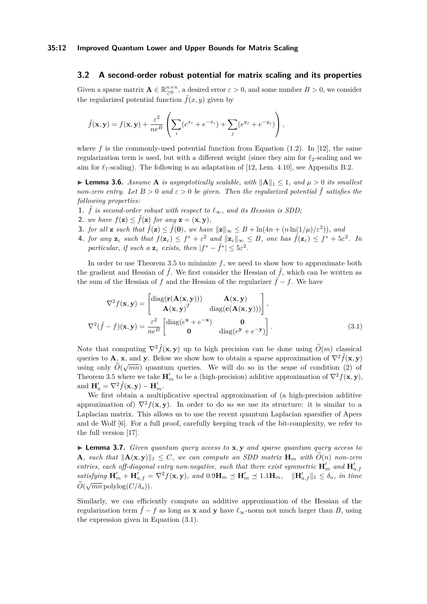### **3.2 A second-order robust potential for matrix scaling and its properties**

Given a sparse matrix  $\mathbf{A} \in \mathbb{R}_{\geq 0}^{n \times n}$ , a desired error  $\varepsilon > 0$ , and some number  $B > 0$ , we consider the regularized potential function  $\tilde{f}(x, y)$  given by

$$
\tilde{f}(\mathbf{x}, \mathbf{y}) = f(\mathbf{x}, \mathbf{y}) + \frac{\varepsilon^2}{ne^B} \left( \sum_i (e^{x_i} + e^{-x_i}) + \sum_j (e^{y_j} + e^{-y_j}) \right),
$$

where  $f$  is the commonly-used potential function from Equation  $(1.2)$ . In [12], the same regularization term is used, but with a different weight (since they aim for *ℓ*2-scaling and we aim for  $\ell_1$ -scaling). The following is an adaptation of [12, Lem. 4.10], see Appendix B.2.

▶ **Lemma 3.6.** *Assume* **A** *is asymptotically scalable, with* ∥**A**∥<sup>1</sup> ≤ 1*, and µ >* 0 *its smallest non-zero entry.* Let  $B > 0$  and  $\varepsilon > 0$  be given. Then the regularized potential  $\tilde{f}$  satisfies the *following properties:*

- **1.**  $\tilde{f}$  *is second-order robust with respect to*  $\ell_{\infty}$ *, and its Hessian is SDD;*
- **2.** *we have*  $f(\mathbf{z}) \leq \tilde{f}(\mathbf{z})$  *for any*  $\mathbf{z} = (\mathbf{x}, \mathbf{y})$ *,*
- **3.** *for all* **z** *such that*  $\tilde{f}(\mathbf{z}) \leq \tilde{f}(\mathbf{0})$ *, we have*  $\|\mathbf{z}\|_{\infty} \leq B + \ln(4n + (n \ln(1/\mu)/\varepsilon^2))$ *, and*
- 4. for any  $\mathbf{z}_{\varepsilon}$  such that  $f(\mathbf{z}_{\varepsilon}) \leq f^* + \varepsilon^2$  and  $\|\mathbf{z}_{\varepsilon}\|_{\infty} \leq B$ , one has  $\tilde{f}(\mathbf{z}_{\varepsilon}) \leq f^* + 5\varepsilon^2$ . In *particular, if such a*  $\mathbf{z}_{\varepsilon}$  *exists, then*  $|f^* - \tilde{f}^*| \leq 5\varepsilon^2$ *.*

In order to use Theorem 3.5 to minimize *f*, we need to show how to approximate both the gradient and Hessian of  $\tilde{f}$ . We first consider the Hessian of  $\tilde{f}$ , which can be written as the sum of the Hessian of *f* and the Hessian of the regularizer  $\tilde{f} - f$ . We have

$$
\nabla^2 f(\mathbf{x}, \mathbf{y}) = \begin{bmatrix} \text{diag}(\mathbf{r}(\mathbf{A}(\mathbf{x}, \mathbf{y}))) & \mathbf{A}(\mathbf{x}, \mathbf{y}) \\ \mathbf{A}(\mathbf{x}, \mathbf{y})^T & \text{diag}(\mathbf{c}(\mathbf{A}(\mathbf{x}, \mathbf{y}))) \end{bmatrix},
$$

$$
\nabla^2 (\tilde{f} - f)(\mathbf{x}, \mathbf{y}) = \frac{\varepsilon^2}{ne^B} \begin{bmatrix} \text{diag}(e^{\mathbf{x}} + e^{-\mathbf{x}}) & \mathbf{0} \\ \mathbf{0} & \text{diag}(e^{\mathbf{y}} + e^{-\mathbf{y}}) \end{bmatrix}.
$$
(3.1)

Note that computing  $\nabla^2 \tilde{f}(\mathbf{x}, \mathbf{y})$  up to high precision can be done using  $\tilde{O}(m)$  classical queries to **A**, **x**, and **y**. Below we show how to obtain a sparse approximation of  $\nabla^2 \tilde{f}(\mathbf{x}, \mathbf{v})$ queries to  $\vec{A}$ ,  $\vec{A}$ , and  $\vec{y}$ . Below we show now to obtain a sparse approximation of  $\vec{v}$   $f(\vec{A}, \vec{y})$  using only  $\tilde{O}(\sqrt{mn})$  quantum queries. We will do so in the sense of condition (2) of Theorem 3.5 where we take  $\mathbf{H}'_m$  to be a (high-precision) additive approximation of  $\nabla^2 f(\mathbf{x}, \mathbf{y})$ , and  $\mathbf{H}'_a = \nabla^2 \tilde{f}(\mathbf{x}, \mathbf{y}) - \mathbf{H}'_m$ .

We first obtain a multiplicative spectral approximation of (a high-precision additive approximation of)  $\nabla^2 f(\mathbf{x}, \mathbf{y})$ . In order to do so we use its structure: it is similar to a Laplacian matrix. This allows us to use the recent quantum Laplacian sparsifier of Apers and de Wolf [6]. For a full proof, carefully keeping track of the bit-complexity, we refer to the full version [17].

▶ **Lemma 3.7.** *Given quantum query access to* **x***,* **y** *and sparse quantum query access to* **A***, such that*  $||A(\mathbf{x}, \mathbf{y})||_1 \leq C$ *, we can compute an SDD matrix*  $\mathbf{H}_m$  *with*  $\tilde{O}(n)$  *non-zero entries, each off-diagonal entry non-negative, such that there exist symmetric*  $\mathbf{H}'_m$  and  $\mathbf{H}'_{a,f}$ satisfying  $\mathbf{H}'_m + \mathbf{H}'_{a,f} = \nabla^2 f(\mathbf{x}, \mathbf{y})$ , and  $0.9\mathbf{H}_m \preceq \mathbf{H}'_m \preceq 1.1\mathbf{H}_m$ ,  $\|\mathbf{H}'_{a,f}\|_1 \leq \delta_a$ , in time  $\widetilde{O}(\sqrt{mn} \operatorname{polylog}(C/\delta_a)).$ 

Similarly, we can efficiently compute an additive approximation of the Hessian of the regularization term  $\tilde{f} - f$  as long as **x** and **y** have  $\ell_{\infty}$ -norm not much larger than *B*, using the expression given in Equation (3.1).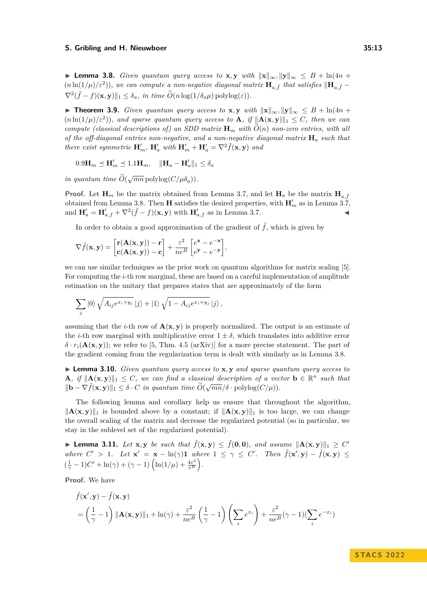▶ **Lemma 3.8.** *Given quantum query access to* **x**, **y** *with*  $\|\mathbf{x}\|_{\infty}$ ,  $\|\mathbf{y}\|_{\infty} \leq B + \ln(4n + 1)$  $(n \ln(1/\mu)/\varepsilon^2)$ ), we can compute a non-negative diagonal matrix  $\mathbf{H}_{a,\tilde{f}}$  that satisfies  $\|\mathbf{H}_{a,\tilde{f}} - f\|$  $\nabla^2 (\tilde{f} - f)(\mathbf{x}, \mathbf{y}) \|_1 \leq \delta_a$ , in time  $\tilde{O}(n \log(1/\delta_a \mu) \text{ polylog}(\varepsilon)).$ 

▶ **Theorem 3.9.** *Given quantum query access to* **x**, **y** *with*  $\|\mathbf{x}\|_{\infty}$ ,  $\|\mathbf{y}\|_{\infty}$   $\leq B + \ln(4n + \frac{1}{2})$  $(n \ln(1/\mu)/\varepsilon^2)$ , and sparse quantum query access to **A**, if  $\|\mathbf{A}(\mathbf{x}, \mathbf{y})\|_1 \leq C$ , then we can *compute (classical descriptions of) an SDD matrix*  $\mathbf{H}_m$  *with*  $\tilde{O}(n)$  *non-zero entries, with all of the off-diagonal entries non-negative, and a non-negative diagonal matrix* **H***<sup>a</sup> such that there exist symmetric*  $\mathbf{H}'_m$ ,  $\mathbf{H}'_a$  *with*  $\mathbf{H}'_m + \mathbf{H}'_a = \nabla^2 \tilde{f}(\mathbf{x}, \mathbf{y})$  *and* 

 $0.9\mathbf{H}_{m} \preceq \mathbf{H}'_{m} \preceq 1.1\mathbf{H}_{m}, \quad \|\mathbf{H}_{a} - \mathbf{H}'_{a}\|_{1} \leq \delta_{a}$ 

*in quantum time*  $\widetilde{O}(\sqrt{mn} \operatorname{polylog}(C/\mu \delta_a))$ *.* 

**Proof.** Let  $\mathbf{H}_m$  be the matrix obtained from Lemma 3.7, and let  $\mathbf{H}_a$  be the matrix  $\mathbf{H}_a$   $\tilde{f}$ obtained from Lemma 3.8. Then **H** satisfies the desired properties, with  $\mathbf{H}'_m$  as in Lemma 3.7, and  $\mathbf{H}'_a = \mathbf{H}'_{a,f} + \nabla^2 (\tilde{f} - f)(\mathbf{x}, \mathbf{y})$  with  $\mathbf{H}'_{a,f}$  as in Lemma 3.7.

In order to obtain a good approximation of the gradient of  $\tilde{f}$ , which is given by

$$
\nabla \tilde{f}(\mathbf{x}, \mathbf{y}) = \begin{bmatrix} \mathbf{r}(\mathbf{A}(\mathbf{x}, \mathbf{y})) - \mathbf{r} \\ \mathbf{c}(\mathbf{A}(\mathbf{x}, \mathbf{y})) - \mathbf{c} \end{bmatrix} + \frac{\varepsilon^2}{ne^B} \begin{bmatrix} e^{\mathbf{x}} - e^{-\mathbf{x}} \\ e^{\mathbf{y}} - e^{-\mathbf{y}} \end{bmatrix},
$$

we can use similar techniques as the prior work on quantum algorithms for matrix scaling [5]. For computing the *i*-th row marginal, these are based on a careful implementation of amplitude estimation on the unitary that prepares states that are approximately of the form

$$
\sum_j \left|0\right\rangle \sqrt{A_{ij}e^{x_i+y_j}}\left|j\right\rangle + \left|1\right\rangle \sqrt{1-A_{ij}e^{x_i+y_j}}\left|j\right\rangle,
$$

assuming that the *i*-th row of  $\mathbf{A}(\mathbf{x}, \mathbf{y})$  is properly normalized. The output is an estimate of the *i*-th row marginal with multiplicative error  $1 \pm \delta$ , which translates into additive error  $\delta \cdot r_i(\mathbf{A}(\mathbf{x}, \mathbf{y}))$ ; we refer to [5, Thm. 4.5 (arXiv)] for a more precise statement. The part of the gradient coming from the regularization term is dealt with similarly as in Lemma 3.8.

▶ **Lemma 3.10.** *Given quantum query access to* **x***,* **y** *and sparse quantum query access to* **A***,* if  $||\mathbf{A}(\mathbf{x}, \mathbf{y})||_1 \leq C$ , we can find a classical description of a vector  $\mathbf{b} \in \mathbb{R}^n$  such that  $||\mathbf{b} - \nabla \tilde{f}(\mathbf{x}, \mathbf{y})||_1 \leq \delta \cdot C$  *in quantum time*  $\tilde{O}(\sqrt{mn}/\delta \cdot \text{polylog}(C/\mu)).$ 

The following lemma and corollary help us ensure that throughout the algorithm,  $||A(x, y)||_1$  is bounded above by a constant; if  $||A(x, y)||_1$  is too large, we can change the overall scaling of the matrix and decrease the regularized potential (so in particular, we stay in the sublevel set of the regularized potential).

▶ **Lemma 3.11.** Let **x**, **y** be such that  $\tilde{f}(\mathbf{x}, \mathbf{y}) \leq \tilde{f}(\mathbf{0}, \mathbf{0})$ , and assume  $\|\mathbf{A}(\mathbf{x}, \mathbf{y})\|_1 \geq C'$ where  $C' > 1$ . Let  $\mathbf{x}' = \mathbf{x} - \ln(\gamma)\mathbf{1}$  where  $1 \leq \gamma \leq C'$ . Then  $\tilde{f}(\mathbf{x}', \mathbf{y}) - \tilde{f}(\mathbf{x}, \mathbf{y}) \leq$  $\left(\frac{1}{\gamma} - 1\right)C' + \ln(\gamma) + (\gamma - 1)\left(\ln(1/\mu) + \frac{4\varepsilon^2}{e^B}\right)$  $\frac{4\varepsilon^2}{e^B}$ .

**Proof.** We have

$$
\tilde{f}(\mathbf{x}', \mathbf{y}) - \tilde{f}(\mathbf{x}, \mathbf{y})
$$
\n
$$
= \left(\frac{1}{\gamma} - 1\right) \|\mathbf{A}(\mathbf{x}, \mathbf{y})\|_1 + \ln(\gamma) + \frac{\varepsilon^2}{ne^B} \left(\frac{1}{\gamma} - 1\right) \left(\sum_i e^{x_i}\right) + \frac{\varepsilon^2}{ne^B} (\gamma - 1) (\sum_i e^{-x_i})
$$

**S TAC S 2 0 2 2**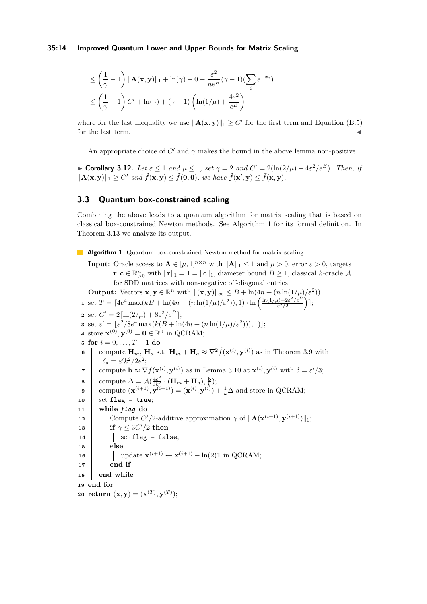$$
\leq \left(\frac{1}{\gamma} - 1\right) \|\mathbf{A}(\mathbf{x}, \mathbf{y})\|_1 + \ln(\gamma) + 0 + \frac{\varepsilon^2}{ne^B} (\gamma - 1) (\sum_i e^{-x_i})
$$

$$
\leq \left(\frac{1}{\gamma} - 1\right) C' + \ln(\gamma) + (\gamma - 1) \left(\ln(1/\mu) + \frac{4\varepsilon^2}{e^B}\right)
$$

where for the last inequality we use  $||A(\mathbf{x}, \mathbf{y})||_1 \ge C'$  for the first term and Equation (B.5) for the last term.

An appropriate choice of  $C'$  and  $\gamma$  makes the bound in the above lemma non-positive.

▶ **Corollary 3.12.** *Let*  $\varepsilon \le 1$  *and*  $\mu \le 1$ *, set*  $\gamma = 2$  *and*  $C' = 2(\ln(2/\mu) + 4\varepsilon^2/e^B)$ *. Then, if*  $\|\mathbf{A}(\mathbf{x}, \mathbf{y})\|_1 \ge C'$  and  $\tilde{f}(\mathbf{x}, \mathbf{y}) \le \tilde{f}(\mathbf{0}, \mathbf{0}),$  we have  $\tilde{f}(\mathbf{x}', \mathbf{y}) \le \tilde{f}(\mathbf{x}, \mathbf{y}).$ 

### **3.3 Quantum box-constrained scaling**

Combining the above leads to a quantum algorithm for matrix scaling that is based on classical box-constrained Newton methods. See Algorithm 1 for its formal definition. In Theorem 3.13 we analyze its output.

**Algorithm 1** Quantum box-constrained Newton method for matrix scaling.

**Input:** Oracle access to  $A \in [\mu, 1]^{n \times n}$  with  $||A||_1 \leq 1$  and  $\mu > 0$ , error  $\varepsilon > 0$ , targets **r**, **c** ∈  $\mathbb{R}_{>0}^n$  with  $||\mathbf{r}||_1 = 1 = ||\mathbf{c}||_1$ , diameter bound *B* ≥ 1, classical *k*-oracle *A* for SDD matrices with non-negative off-diagonal entries **Output:** Vectors  $\mathbf{x}, \mathbf{y} \in \mathbb{R}^n$  with  $\|(\mathbf{x}, \mathbf{y})\|_{\infty} \leq B + \ln(4n + (n \ln(1/\mu)/\varepsilon^2))$ **1** set  $T = [4e^4 \max(kB + \ln(4n + (n \ln(1/\mu)/\varepsilon^2))), 1) \cdot \ln \left( \frac{\ln(1/\mu) + 2\varepsilon^2/e^B}{\varepsilon^2/2} \right)$  $\frac{\mu)+2\varepsilon^2/e^B}{\varepsilon^2/2}\Big)$  ; 2 set  $C' = 2 \left[ \ln(2/\mu) + 8\varepsilon^2/e^B \right];$ **3** set  $\varepsilon' = \frac{\varepsilon^2}{8e^4} \max(k(B + \ln(4n + (n \ln(1/\mu)/\varepsilon^2))), 1);$ **4** store  $\mathbf{x}^{(0)}, \mathbf{y}^{(0)} = \mathbf{0} \in \mathbb{R}^n$  in QCRAM; **5 for**  $i = 0, ..., T - 1$  **do 6** compute  $\mathbf{H}_m$ ,  $\mathbf{H}_a$  s.t.  $\mathbf{H}_m + \mathbf{H}_a \approx \nabla^2 \tilde{f}(\mathbf{x}^{(i)}, \mathbf{y}^{(i)})$  as in Theorem 3.9 with  $\delta_a = \varepsilon' k^2 / 2e^2;$ **7** compute  $\mathbf{b} \approx \nabla \tilde{f}(\mathbf{x}^{(i)}, \mathbf{y}^{(i)})$  as in Lemma 3.10 at  $\mathbf{x}^{(i)}, \mathbf{y}^{(i)}$  with  $\delta = \varepsilon'/3$ ;  $\mathbf{8}$  compute  $\Delta = \mathcal{A}(\frac{4e^2}{3k^2} \cdot (\mathbf{H}_m + \mathbf{H}_a), \frac{\mathbf{b}}{k});$ **9** compute  $(\mathbf{x}^{(i+1)}, \mathbf{y}^{(i+1)}) = (\mathbf{x}^{(i)}, \mathbf{y}^{(i)}) + \frac{1}{k}\Delta$  and store in QCRAM;  $10$  set flag = true; **<sup>11</sup> while** *flag* **do 12** Compute  $C'/2$ -additive approximation  $\gamma$  of  $\|\mathbf{A}(\mathbf{x}^{(i+1)}, \mathbf{y}^{(i+1)})\|_1$ ;  $\mathbf{13}$  **if**  $\gamma \leq 3C'/2$  **then**  $\begin{array}{|c|c|c|c|c|}\n\hline\n\text{14} & \text{else} & \text{set flag = false};\n\hline\n\end{array}$ **<sup>15</sup> else 16**  $\left| \right|$  update  $\mathbf{x}^{(i+1)} \leftarrow \mathbf{x}^{(i+1)} - \ln(2) \mathbf{1}$  in QCRAM; **<sup>17</sup> end if <sup>18</sup> end while <sup>19</sup> end for**  $\mathbf{20} \text{ return } (\mathbf{x}, \mathbf{y}) = (\mathbf{x}^{(T)}, \mathbf{y}^{(T)})$ ;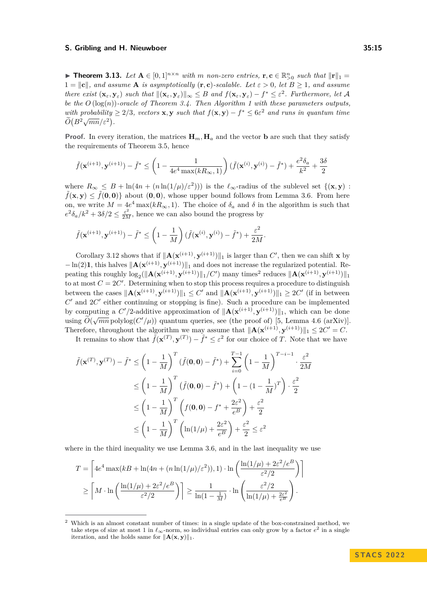▶ **Theorem 3.13.** Let  $A \in [0,1]^{n \times n}$  with *m non-zero entries,*  $\mathbf{r}, \mathbf{c} \in \mathbb{R}_{>0}^{n}$  such that  $\|\mathbf{r}\|_1 =$  $1 = ||c||$ *, and assume* **A** *is asymptotically*  $(\mathbf{r}, \mathbf{c})$ *-scalable. Let*  $\varepsilon > 0$ *, let*  $B \ge 1$ *, and assume* there exist  $(\mathbf{x}_{\varepsilon}, \mathbf{y}_{\varepsilon})$  such that  $\|(\mathbf{x}_{\varepsilon}, \mathbf{y}_{\varepsilon})\|_{\infty} \leq B$  and  $f(\mathbf{x}_{\varepsilon}, \mathbf{y}_{\varepsilon}) - f^* \leq \varepsilon^2$ . Furthermore, let A *be the O* (log(*n*))*-oracle of Theorem 3.4. Then Algorithm 1 with these parameters outputs, with probability*  $\geq 2/3$ *, vectors* **x**, **y** *such that*  $f(\mathbf{x}, \mathbf{y}) - f^* \leq 6\varepsilon^2$  *and runs in quantum time*  $\widetilde{O}(B^2\sqrt{mn}/\varepsilon^2)$ .

**Proof.** In every iteration, the matrices  $\mathbf{H}_m$ ,  $\mathbf{H}_a$  and the vector **b** are such that they satisfy the requirements of Theorem 3.5, hence

$$
\tilde{f}(\mathbf{x}^{(i+1)}, \mathbf{y}^{(i+1)}) - \tilde{f}^* \le \left(1 - \frac{1}{4e^4 \max(kR_{\infty}, 1)}\right) (\tilde{f}(\mathbf{x}^{(i)}, \mathbf{y}^{(i)}) - \tilde{f}^*) + \frac{e^2 \delta_a}{k^2} + \frac{3\delta}{2}
$$

where  $R_{\infty} \leq B + \ln(4n + (n \ln(1/\mu)/\varepsilon^2))$  is the  $\ell_{\infty}$ -radius of the sublevel set  $\{(\mathbf{x}, \mathbf{y}) :$  $\tilde{f}(\mathbf{x}, \mathbf{y}) \leq \tilde{f}(\mathbf{0}, \mathbf{0})$  about  $(\mathbf{0}, \mathbf{0})$ , whose upper bound follows from Lemma 3.6. From here on, we write  $M = 4e^4 \max(kR_\infty, 1)$ . The choice of  $\delta_a$  and  $\delta$  in the algorithm is such that  $e^{2\delta_a/k^2} + 3\delta/2 \leq \frac{\varepsilon^2}{2M}$ , hence we can also bound the progress by

$$
\tilde{f}(\mathbf{x}^{(i+1)}, \mathbf{y}^{(i+1)}) - \tilde{f}^* \le \left(1 - \frac{1}{M}\right) (\tilde{f}(\mathbf{x}^{(i)}, \mathbf{y}^{(i)}) - \tilde{f}^*) + \frac{\varepsilon^2}{2M}.
$$

Corollary 3.12 shows that if  $\|\mathbf{A}(\mathbf{x}^{(i+1)}, \mathbf{y}^{(i+1)})\|_1$  is larger than *C*', then we can shift **x** by  $-\ln(2)$ **1**, this halves  $\|\mathbf{A}(\mathbf{x}^{(i+1)}, \mathbf{y}^{(i+1)})\|_1$  and does not increase the regularized potential. Repeating this roughly  $\log_2(||\mathbf{A}(\mathbf{x}^{(i+1)}, \mathbf{y}^{(i+1)})||_1/C')$  many times<sup>2</sup> reduces  $||\mathbf{A}(\mathbf{x}^{(i+1)}, \mathbf{y}^{(i+1)})||_1$ to at most  $C = 2C'$ . Determining when to stop this process requires a procedure to distinguish between the cases  $\|\mathbf{A}(\mathbf{x}^{(i+1)}, \mathbf{y}^{(i+1)})\|_1 \leq C'$  and  $\|\mathbf{A}(\mathbf{x}^{(i+1)}, \mathbf{y}^{(i+1)})\|_1 \geq 2C'$  (if in between *C* ′ and 2*C* ′ either continuing or stopping is fine). Such a procedure can be implemented by computing a  $C'/2$ -additive approximation of  $\|\mathbf{A}(\mathbf{x}^{(i+1)}, \mathbf{y}^{(i+1)})\|_1$ , which can be done by computing  $\tilde{O}(\sqrt{mn} \text{ polylog}(C'/\mu))$  quantum queries, see (the proof of) [5, Lemma 4.6 (arXiv)]. Therefore, throughout the algorithm we may assume that  $\|\mathbf{A}(\mathbf{x}^{(i+1)}, \mathbf{y}^{(i+1)})\|_1 \leq 2C' = C$ .

It remains to show that  $\tilde{f}(\mathbf{x}^{(T)}, \mathbf{y}^{(T)}) - \tilde{f}^* \leq \varepsilon^2$  for our choice of *T*. Note that we have

$$
\tilde{f}(\mathbf{x}^{(T)}, \mathbf{y}^{(T)}) - \tilde{f}^* \le \left(1 - \frac{1}{M}\right)^T (\tilde{f}(\mathbf{0}, \mathbf{0}) - \tilde{f}^*) + \sum_{i=0}^{T-1} \left(1 - \frac{1}{M}\right)^{T-i-1} \cdot \frac{\varepsilon^2}{2M}
$$
\n
$$
\le \left(1 - \frac{1}{M}\right)^T (\tilde{f}(\mathbf{0}, \mathbf{0}) - \tilde{f}^*) + \left(1 - (1 - \frac{1}{M})^T\right) \cdot \frac{\varepsilon^2}{2}
$$
\n
$$
\le \left(1 - \frac{1}{M}\right)^T \left(f(\mathbf{0}, \mathbf{0}) - f^* + \frac{2\varepsilon^2}{e^B}\right) + \frac{\varepsilon^2}{2}
$$
\n
$$
\le \left(1 - \frac{1}{M}\right)^T \left(\ln(1/\mu) + \frac{2\varepsilon^2}{e^B}\right) + \frac{\varepsilon^2}{2} \le \varepsilon^2
$$

where in the third inequality we use Lemma 3.6, and in the last inequality we use

$$
T = \left[ 4e^4 \max(kB + \ln(4n + (n \ln(1/\mu)/\varepsilon^2)), 1) \cdot \ln\left(\frac{\ln(1/\mu) + 2\varepsilon^2/e^B}{\varepsilon^2/2}\right) \right]
$$
  

$$
\ge \left[ M \cdot \ln\left(\frac{\ln(1/\mu) + 2\varepsilon^2/e^B}{\varepsilon^2/2}\right) \right] \ge \frac{1}{\ln(1 - \frac{1}{M})} \cdot \ln\left(\frac{\varepsilon^2/2}{\ln(1/\mu) + \frac{2\varepsilon^2}{e^B}}\right).
$$

<sup>&</sup>lt;sup>2</sup> Which is an almost constant number of times: in a single update of the box-constrained method, we take steps of size at most 1 in *ℓ*∞-norm, so individual entries can only grow by a factor *e* 2 in a single iteration, and the holds same for  $||\mathbf{A}(\mathbf{x}, \mathbf{y})||_1$ .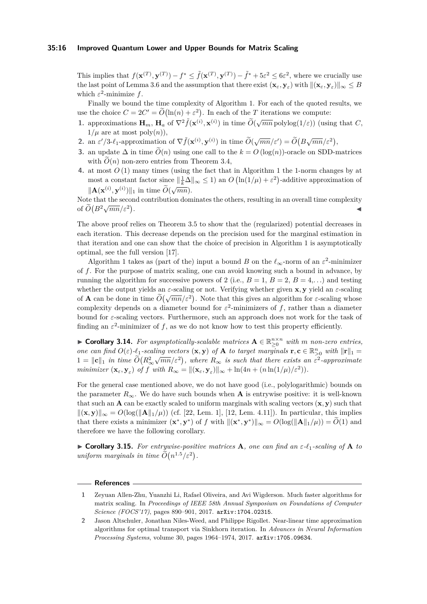### **35:16 Improved Quantum Lower and Upper Bounds for Matrix Scaling**

This implies that  $f(\mathbf{x}^{(T)}, \mathbf{y}^{(T)}) - f^* \leq \tilde{f}(\mathbf{x}^{(T)}, \mathbf{y}^{(T)}) - \tilde{f}^* + 5\epsilon^2 \leq 6\epsilon^2$ , where we crucially use  $\text{the last point of Lemma 3.6 and the assumption that there exist } (\mathbf{x}_{\varepsilon}, \mathbf{y}_{\varepsilon}) \text{ with } ||(\mathbf{x}_{\varepsilon}, \mathbf{y}_{\varepsilon})||_{\infty} \leq B$ which  $\varepsilon^2$ -minimize  $f$ .

Finally we bound the time complexity of Algorithm 1. For each of the quoted results, we use the choice  $C = 2C' = \widetilde{O}(\ln(n) + \varepsilon^2)$ . In each of the *T* iterations we compute:

- **1.** approximations  $\mathbf{H}_m$ ,  $\mathbf{H}_a$  of  $\nabla^2 \tilde{f}(\mathbf{x}^{(i)}, \mathbf{x}^{(i)})$  in time  $\tilde{O}(\sqrt{mn} \text{ polylog}(1/\varepsilon))$  (using that *C*,  $1/\mu$  are at most poly $(n)$ ),
- 2. an  $\varepsilon'/3-\ell_1$ -approximation of  $\nabla \tilde{f}(\mathbf{x}^{(i)}, \mathbf{y}^{(i)})$  in time  $\tilde{O}(\sqrt{mn}/\varepsilon') = \tilde{O}(B\sqrt{mn}/\varepsilon^2)$ ,
- **3.** an update  $\Delta$  in time  $\tilde{O}(n)$  using one call to the  $k = O(\log(n))$ -oracle on SDD-matrices with  $\tilde{O}(n)$  non-zero entries from Theorem 3.4,
- **4.** at most *O* (1) many times (using the fact that in Algorithm 1 the 1-norm changes by at most a constant factor since  $\|\frac{1}{k}\Delta\|_{\infty} \leq 1$  an  $O\left(\ln(1/\mu) + \varepsilon^2\right)$ -additive approximation of  $\|\mathbf{A}(\mathbf{x}^{(i)}, \mathbf{y}^{(i)})\|_1$  in time  $\widetilde{O}(\sqrt{mn})$ .

Note that the second contribution dominates the others, resulting in an overall time complexity of  $\widetilde{O}(B^2\sqrt{mn}/\varepsilon^2)$ . ◀

The above proof relies on Theorem 3.5 to show that the (regularized) potential decreases in each iteration. This decrease depends on the precision used for the marginal estimation in that iteration and one can show that the choice of precision in Algorithm 1 is asymptotically optimal, see the full version [17].

Algorithm 1 takes as (part of the) input a bound *B* on the  $\ell_{\infty}$ -norm of an  $\varepsilon^2$ -minimizer of *f*. For the purpose of matrix scaling, one can avoid knowing such a bound in advance, by running the algorithm for successive powers of 2 (i.e.,  $B = 1$ ,  $B = 2$ ,  $B = 4$ ,...) and testing whether the output yields an *ε*-scaling or not. Verifying whether given **x***,* **y** yield an *ε*-scaling of **A** can be done in time  $\tilde{O}(\sqrt{mn}/\varepsilon^2)$ . Note that this gives an algorithm for *ε*-scaling whose complexity depends on a diameter bound for  $\varepsilon^2$ -minimizers of f, rather than a diameter bound for *ε*-scaling vectors. Furthermore, such an approach does not work for the task of finding an  $\varepsilon^2$ -minimizer of f, as we do not know how to test this property efficiently.

▶ **Corollary 3.14.** For asymptotically-scalable matrices  $\mathbf{A} \in \mathbb{R}_{\geq 0}^{n \times n}$  with *m* non-zero entries, one can find  $O(\varepsilon)$ - $\ell_1$ -scaling vectors  $(\mathbf{x}, \mathbf{y})$  of **A** to target marginals  $\mathbf{r}, \mathbf{c} \in \mathbb{R}_{\geq 0}^n$  with  $\|\mathbf{r}\|_1 =$  $1 = ||\mathbf{c}||_1$  *in time*  $\widetilde{O}(R_{\infty}^2\sqrt{mn}/\varepsilon^2)$ , where  $R_{\infty}$  is such that there exists an  $\varepsilon^2$ -approximate *minimizer*  $(\mathbf{x}_{\varepsilon}, \mathbf{y}_{\varepsilon})$  *of f with*  $R_{\infty} = ||(\mathbf{x}_{\varepsilon}, \mathbf{y}_{\varepsilon})||_{\infty} + \ln(4n + (n \ln(1/\mu)/\varepsilon^2)).$ 

For the general case mentioned above, we do not have good (i.e., polylogarithmic) bounds on the parameter  $R_{\infty}$ . We do have such bounds when **A** is entrywise positive: it is well-known that such an **A** can be exactly scaled to uniform marginals with scaling vectors  $(\mathbf{x}, \mathbf{y})$  such that  $\|(\mathbf{x}, \mathbf{y})\|_{\infty} = O(\log(\|\mathbf{A}\|_1/\mu))$  (cf. [22, Lem. 1], [12, Lem. 4.11]). In particular, this implies that there exists a minimizer  $(\mathbf{x}^*, \mathbf{y}^*)$  of *f* with  $\|(\mathbf{x}^*, \mathbf{y}^*)\|_{\infty} = O(\log(\|\mathbf{A}\|_1/\mu)) = \widetilde{O}(1)$  and therefore we have the following corollary.

▶ **Corollary 3.15.** *For entrywise-positive matrices* **A***, one can find an ε-ℓ*1*-scaling of* **A** *to*  $uniform$  marginals in time  $\tilde{O}(n^{1.5}/\varepsilon^2)$ .

### **References**

**<sup>1</sup>** Zeyuan Allen-Zhu, Yuanzhi Li, Rafael Oliveira, and Avi Wigderson. Much faster algorithms for matrix scaling. In *Proceedings of IEEE 58th Annual Symposium on Foundations of Computer Science (FOCS'17)*, pages 890–901, 2017. [arXiv:1704.02315](http://arxiv.org/abs/1704.02315).

**<sup>2</sup>** Jason Altschuler, Jonathan Niles-Weed, and Philippe Rigollet. Near-linear time approximation algorithms for optimal transport via Sinkhorn iteration. In *Advances in Neural Information Processing Systems*, volume 30, pages 1964–1974, 2017. [arXiv:1705.09634](http://arxiv.org/abs/1705.09634).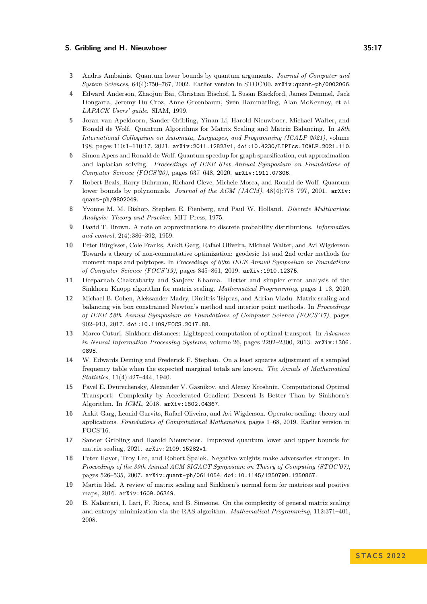- **3** Andris Ambainis. Quantum lower bounds by quantum arguments. *Journal of Computer and System Sciences*, 64(4):750–767, 2002. Earlier version in STOC'00. [arXiv:quant-ph/0002066](https://arxiv.org/abs/quant-ph/0002066).
- **4** Edward Anderson, Zhaojun Bai, Christian Bischof, L Susan Blackford, James Demmel, Jack Dongarra, Jeremy Du Croz, Anne Greenbaum, Sven Hammarling, Alan McKenney, et al. *LAPACK Users' guide*. SIAM, 1999.
- **5** Joran van Apeldoorn, Sander Gribling, Yinan Li, Harold Nieuwboer, Michael Walter, and Ronald de Wolf. Quantum Algorithms for Matrix Scaling and Matrix Balancing. In *48th International Colloquium on Automata, Languages, and Programming (ICALP 2021)*, volume 198, pages 110:1–110:17, 2021. [arXiv:2011.12823v1](http://arxiv.org/abs/2011.12823v1), [doi:10.4230/LIPIcs.ICALP.2021.110](https://doi.org/10.4230/LIPIcs.ICALP.2021.110).
- **6** Simon Apers and Ronald de Wolf. Quantum speedup for graph sparsification, cut approximation and laplacian solving. *Proceedings of IEEE 61st Annual Symposium on Foundations of Computer Science (FOCS'20)*, pages 637–648, 2020. [arXiv:1911.07306](http://arxiv.org/abs/1911.07306).
- **7** Robert Beals, Harry Buhrman, Richard Cleve, Michele Mosca, and Ronald de Wolf. Quantum lower bounds by polynomials. *Journal of the ACM (JACM)*, 48(4):778–797, 2001. [arXiv:](http://arxiv.org/abs/quant-ph/9802049) [quant-ph/9802049](http://arxiv.org/abs/quant-ph/9802049).
- **8** Yvonne M. M. Bishop, Stephen E. Fienberg, and Paul W. Holland. *Discrete Multivariate Analysis: Theory and Practice*. MIT Press, 1975.
- **9** David T. Brown. A note on approximations to discrete probability distributions. *Information and control*, 2(4):386–392, 1959.
- **10** Peter Bürgisser, Cole Franks, Ankit Garg, Rafael Oliveira, Michael Walter, and Avi Wigderson. Towards a theory of non-commutative optimization: geodesic 1st and 2nd order methods for moment maps and polytopes. In *Proceedings of 60th IEEE Annual Symposium on Foundations of Computer Science (FOCS'19)*, pages 845–861, 2019. [arXiv:1910.12375](http://arxiv.org/abs/1910.12375).
- **11** Deeparnab Chakrabarty and Sanjeev Khanna. Better and simpler error analysis of the Sinkhorn–Knopp algorithm for matrix scaling. *Mathematical Programming*, pages 1–13, 2020.
- **12** Michael B. Cohen, Aleksander Madry, Dimitris Tsipras, and Adrian Vladu. Matrix scaling and balancing via box constrained Newton's method and interior point methods. In *Proceedings of IEEE 58th Annual Symposium on Foundations of Computer Science (FOCS'17)*, pages 902–913, 2017. [doi:10.1109/FOCS.2017.88](https://doi.org/10.1109/FOCS.2017.88).
- **13** Marco Cuturi. Sinkhorn distances: Lightspeed computation of optimal transport. In *Advances in Neural Information Processing Systems*, volume 26, pages 2292–2300, 2013. [arXiv:1306.](http://arxiv.org/abs/1306.0895) [0895](http://arxiv.org/abs/1306.0895).
- **14** W. Edwards Deming and Frederick F. Stephan. On a least squares adjustment of a sampled frequency table when the expected marginal totals are known. *The Annals of Mathematical Statistics*, 11(4):427–444, 1940.
- **15** Pavel E. Dvurechensky, Alexander V. Gasnikov, and Alexey Kroshnin. Computational Optimal Transport: Complexity by Accelerated Gradient Descent Is Better Than by Sinkhorn's Algorithm. In *ICML*, 2018. [arXiv:1802.04367](http://arxiv.org/abs/1802.04367).
- **16** Ankit Garg, Leonid Gurvits, Rafael Oliveira, and Avi Wigderson. Operator scaling: theory and applications. *Foundations of Computational Mathematics*, pages 1–68, 2019. Earlier version in FOCS'16.
- **17** Sander Gribling and Harold Nieuwboer. Improved quantum lower and upper bounds for matrix scaling, 2021. [arXiv:2109.15282v1](http://arxiv.org/abs/2109.15282v1).
- **18** Peter Høyer, Troy Lee, and Robert Špalek. Negative weights make adversaries stronger. In *Proceedings of the 39th Annual ACM SIGACT Symposium on Theory of Computing (STOC'07)*, pages 526–535, 2007. [arXiv:quant-ph/0611054](http://arxiv.org/abs/quant-ph/0611054), [doi:10.1145/1250790.1250867](https://doi.org/10.1145/1250790.1250867).
- **19** Martin Idel. A review of matrix scaling and Sinkhorn's normal form for matrices and positive maps, 2016. [arXiv:1609.06349](http://arxiv.org/abs/1609.06349).
- **20** B. Kalantari, I. Lari, F. Ricca, and B. Simeone. On the complexity of general matrix scaling and entropy minimization via the RAS algorithm. *Mathematical Programming*, 112:371–401, 2008.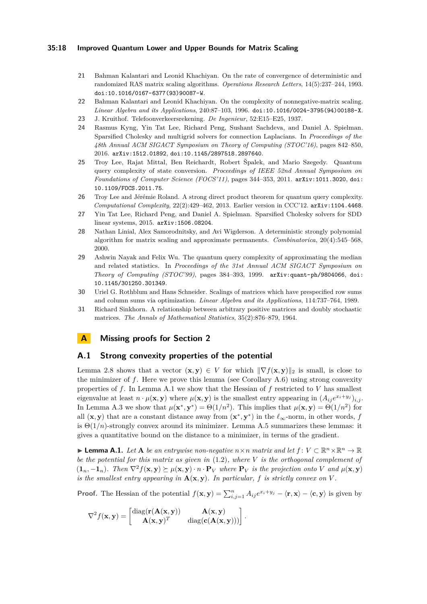### **35:18 Improved Quantum Lower and Upper Bounds for Matrix Scaling**

- **21** Bahman Kalantari and Leonid Khachiyan. On the rate of convergence of deterministic and randomized RAS matrix scaling algorithms. *Operations Research Letters*, 14(5):237–244, 1993. [doi:10.1016/0167-6377\(93\)90087-W](https://doi.org/10.1016/0167-6377(93)90087-W).
- **22** Bahman Kalantari and Leonid Khachiyan. On the complexity of nonnegative-matrix scaling. *Linear Algebra and its Applications*, 240:87–103, 1996. [doi:10.1016/0024-3795\(94\)00188-X](https://doi.org/10.1016/0024-3795(94)00188-X).
- **23** J. Kruithof. Telefoonverkeersrekening. *De Ingenieur*, 52:E15–E25, 1937.
- **24** Rasmus Kyng, Yin Tat Lee, Richard Peng, Sushant Sachdeva, and Daniel A. Spielman. Sparsified Cholesky and multigrid solvers for connection Laplacians. In *Proceedings of the 48th Annual ACM SIGACT Symposium on Theory of Computing (STOC'16)*, pages 842–850, 2016. [arXiv:1512.01892](http://arxiv.org/abs/1512.01892), [doi:10.1145/2897518.2897640](https://doi.org/10.1145/2897518.2897640).
- **25** Troy Lee, Rajat Mittal, Ben Reichardt, Robert Špalek, and Mario Szegedy. Quantum query complexity of state conversion. *Proceedings of IEEE 52nd Annual Symposium on Foundations of Computer Science (FOCS'11)*, pages 344–353, 2011. [arXiv:1011.3020](http://arxiv.org/abs/1011.3020), [doi:](https://doi.org/10.1109/FOCS.2011.75) [10.1109/FOCS.2011.75](https://doi.org/10.1109/FOCS.2011.75).
- **26** Troy Lee and Jérémie Roland. A strong direct product theorem for quantum query complexity. *Computational Complexity*, 22(2):429–462, 2013. Earlier version in CCC'12. [arXiv:1104.4468](https://arxiv.org/abs/1104.4468).
- **27** Yin Tat Lee, Richard Peng, and Daniel A. Spielman. Sparsified Cholesky solvers for SDD linear systems, 2015. [arXiv:1506.08204](http://arxiv.org/abs/1506.08204).
- **28** Nathan Linial, Alex Samorodnitsky, and Avi Wigderson. A deterministic strongly polynomial algorithm for matrix scaling and approximate permanents. *Combinatorica*, 20(4):545–568, 2000.
- **29** Ashwin Nayak and Felix Wu. The quantum query complexity of approximating the median and related statistics. In *Proceedings of the 31st Annual ACM SIGACT Symposium on Theory of Computing (STOC'99)*, pages 384–393, 1999. [arXiv:quant-ph/9804066](http://arxiv.org/abs/quant-ph/9804066), [doi:](https://doi.org/10.1145/301250.301349) [10.1145/301250.301349](https://doi.org/10.1145/301250.301349).
- **30** Uriel G. Rothblum and Hans Schneider. Scalings of matrices which have prespecified row sums and column sums via optimization. *Linear Algebra and its Applications*, 114:737–764, 1989.
- **31** Richard Sinkhorn. A relationship between arbitrary positive matrices and doubly stochastic matrices. *The Annals of Mathematical Statistics*, 35(2):876–879, 1964.

### **A Missing proofs for Section 2**

### **A.1 Strong convexity properties of the potential**

Lemma 2.8 shows that a vector  $(\mathbf{x}, \mathbf{y}) \in V$  for which  $\|\nabla f(\mathbf{x}, \mathbf{y})\|_2$  is small, is close to the minimizer of *f*. Here we prove this lemma (see Corollary A.6) using strong convexity properties of *f*. In Lemma A.1 we show that the Hessian of *f* restricted to *V* has smallest eigenvalue at least  $n \cdot \mu(\mathbf{x}, \mathbf{y})$  where  $\mu(\mathbf{x}, \mathbf{y})$  is the smallest entry appearing in  $(A_{ij}e^{x_i + y_j})_{i,j}$ . In Lemma A.3 we show that  $\mu(\mathbf{x}^*, \mathbf{y}^*) = \Theta(1/n^2)$ . This implies that  $\mu(\mathbf{x}, \mathbf{y}) = \Theta(1/n^2)$  for all  $(\mathbf{x}, \mathbf{y})$  that are a constant distance away from  $(\mathbf{x}^*, \mathbf{y}^*)$  in the  $\ell_{\infty}$ -norm, in other words, f is  $\Theta(1/n)$ -strongly convex around its minimizer. Lemma A.5 summarizes these lemmas: it gives a quantitative bound on the distance to a minimizer, in terms of the gradient.

▶ **Lemma A.1.** *Let* **A** *be an entrywise non-negative*  $n \times n$  *matrix and let*  $f: V \subset \mathbb{R}^n \times \mathbb{R}^n \to \mathbb{R}$ *be the potential for this matrix as given in* (1.2)*, where V is the orthogonal complement of*  $(1_n,-1_n)$ . Then  $\nabla^2 f(\mathbf{x},\mathbf{y}) \succeq \mu(\mathbf{x},\mathbf{y}) \cdot n \cdot \mathbf{P}_V$  where  $\mathbf{P}_V$  is the projection onto V and  $\mu(\mathbf{x},\mathbf{y})$ *is the smallest entry appearing in*  $\mathbf{A}(\mathbf{x}, \mathbf{y})$ *. In particular,*  $f$  *is strictly convex on*  $V$ *.* 

**Proof.** The Hessian of the potential  $f(\mathbf{x}, \mathbf{y}) = \sum_{i,j=1}^{n} A_{ij} e^{x_i + y_j} - \langle \mathbf{r}, \mathbf{x} \rangle - \langle \mathbf{c}, \mathbf{y} \rangle$  is given by

$$
\nabla^2 f(\mathbf{x}, \mathbf{y}) = \begin{bmatrix} \mathrm{diag}(\mathbf{r}(\mathbf{A}(\mathbf{x}, \mathbf{y})) & \mathbf{A}(\mathbf{x}, \mathbf{y}) \\ \mathbf{A}(\mathbf{x}, \mathbf{y})^T & \mathrm{diag}(\mathbf{c}(\mathbf{A}(\mathbf{x}, \mathbf{y}))) \end{bmatrix}.
$$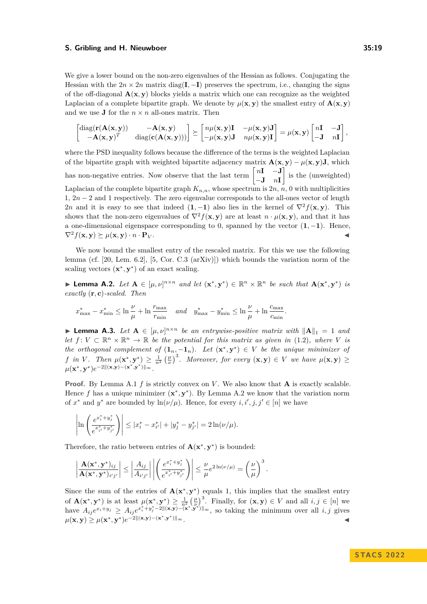We give a lower bound on the non-zero eigenvalues of the Hessian as follows. Conjugating the Hessian with the  $2n \times 2n$  matrix diag(**I**,  $-$ **I**) preserves the spectrum, i.e., changing the signs of the off-diagonal  $\mathbf{A}(\mathbf{x}, \mathbf{y})$  blocks yields a matrix which one can recognize as the weighted Laplacian of a complete bipartite graph. We denote by  $\mu(\mathbf{x}, \mathbf{y})$  the smallest entry of  $\mathbf{A}(\mathbf{x}, \mathbf{y})$ and we use **J** for the  $n \times n$  all-ones matrix. Then

$$
\begin{bmatrix} \mathrm{diag}(\mathbf{r}(\mathbf{A}(\mathbf{x}, \mathbf{y})) & -\mathbf{A}(\mathbf{x}, \mathbf{y}) \\ -\mathbf{A}(\mathbf{x}, \mathbf{y})^T & \mathrm{diag}(\mathbf{c}(\mathbf{A}(\mathbf{x}, \mathbf{y}))) \end{bmatrix} \succeq \begin{bmatrix} n\mu(\mathbf{x}, \mathbf{y})\mathbf{I} & -\mu(\mathbf{x}, \mathbf{y})\mathbf{J} \\ -\mu(\mathbf{x}, \mathbf{y})\mathbf{J} & n\mu(\mathbf{x}, \mathbf{y})\mathbf{I} \end{bmatrix} = \mu(\mathbf{x}, \mathbf{y}) \begin{bmatrix} n\mathbf{I} & -\mathbf{J} \\ -\mathbf{J} & n\mathbf{I} \end{bmatrix},
$$

where the PSD inequality follows because the difference of the terms is the weighted Laplacian of the bipartite graph with weighted bipartite adjacency matrix  $\mathbf{A}(\mathbf{x}, \mathbf{y}) - \mu(\mathbf{x}, \mathbf{y})\mathbf{J}$ , which has non-negative entries. Now observe that the last term  $\begin{bmatrix} nI & -J \\ J & J \end{bmatrix}$ −**J** *n***I** is the (unweighted) Laplacian of the complete bipartite graph  $K_{n,n}$ , whose spectrum is  $2n, n, 0$  with multiplicities 1, 2*n* − 2 and 1 respectively. The zero eigenvalue corresponds to the all-ones vector of length 2*n* and it is easy to see that indeed  $(1, -1)$  also lies in the kernel of  $\nabla^2 f(\mathbf{x}, \mathbf{y})$ . This shows that the non-zero eigenvalues of  $\nabla^2 f(\mathbf{x}, \mathbf{y})$  are at least  $n \cdot \mu(\mathbf{x}, \mathbf{y})$ , and that it has a one-dimensional eigenspace corresponding to 0, spanned by the vector (**1***,* −**1**). Hence,  $\nabla^2 f(\mathbf{x}, \mathbf{y}) \succeq \mu(\mathbf{x}, \mathbf{y}) \cdot n \cdot \mathbf{P}_V$ .

We now bound the smallest entry of the rescaled matrix. For this we use the following lemma (cf. [20, Lem. 6.2], [5, Cor. C.3 (arXiv)]) which bounds the variation norm of the scaling vectors  $(\mathbf{x}^*, \mathbf{y}^*)$  of an exact scaling.

▶ **Lemma A.2.** Let  $A \in [\mu, \nu]^{n \times n}$  and let  $(\mathbf{x}^*, \mathbf{y}^*) \in \mathbb{R}^n \times \mathbb{R}^n$  be such that  $A(\mathbf{x}^*, \mathbf{y}^*)$  is *exactly* (**r***,* **c**)*-scaled. Then*

$$
x^*_{\max} - x^*_{\min} \leq \ln \frac{\nu}{\mu} + \ln \frac{r_{\max}}{r_{\min}} \quad \textit{and} \quad y^*_{\max} - y^*_{\min} \leq \ln \frac{\nu}{\mu} + \ln \frac{c_{\max}}{c_{\min}}.
$$

▶ **Lemma A.3.** *Let*  $A \in [\mu, \nu]^{n \times n}$  *be an entrywise-positive matrix with*  $||A||_1 = 1$  *and let*  $f: V \subset \mathbb{R}^n \times \mathbb{R}^n \to \mathbb{R}$  *be the potential for this matrix as given in* (1.2)*, where V is the orthogonal complement of*  $(1_n, -1_n)$ *. Let*  $(\mathbf{x}^*, \mathbf{y}^*) \in V$  *be the unique minimizer of* f in V. Then  $\mu(\mathbf{x}^*, \mathbf{y}^*) \geq \frac{1}{n^2} \left(\frac{\mu}{\nu}\right)^3$ . Moreover, for every  $(\mathbf{x}, \mathbf{y}) \in V$  we have  $\mu(\mathbf{x}, \mathbf{y}) \geq$  $\mu(\mathbf{x}^*, \mathbf{y}^*)e^{-2\|(\mathbf{x}, \mathbf{y}) - (\mathbf{x}^*, \mathbf{y}^*)\|_{\infty}}.$ 

**Proof.** By Lemma A.1 *f* is strictly convex on *V*. We also know that **A** is exactly scalable. Hence f has a unique minimizer  $(x^*, y^*)$ . By Lemma A.2 we know that the variation norm of  $x^*$  and  $y^*$  are bounded by  $\ln(\nu/\mu)$ . Hence, for every  $i, i', j, j' \in [n]$  we have

$$
\left|\ln\left(\frac{e^{x_i^*+y_j^*}}{e^{x_{i'}^*+y_{j'}^*}}\right)\right| \leq |x_i^*-x_{i'}^*|+|y_j^*-y_{j'}^*|=2\ln(\nu/\mu).
$$

Therefore, the ratio between entries of  $\mathbf{A}(\mathbf{x}^*, \mathbf{y}^*)$  is bounded:

$$
\left|\frac{\mathbf{A}(\mathbf{x}^*,\mathbf{y}^*)_{ij}}{\mathbf{A}(\mathbf{x}^*,\mathbf{y}^*)_{i'j'}}\right| \leq \left|\frac{A_{ij}}{A_{i'j'}}\right| \left|\left(\frac{e^{x_i^*+y_j^*}}{e^{x_{i'}^*+y_{j'}^*}}\right)\right| \leq \frac{\nu}{\mu} e^{2\ln(\nu/\mu)} = \left(\frac{\nu}{\mu}\right)^3.
$$

Since the sum of the entries of  $\mathbf{A}(\mathbf{x}^*, \mathbf{y}^*)$  equals 1, this implies that the smallest entry of  $\mathbf{A}(\mathbf{x}^*, \mathbf{y}^*)$  is at least  $\mu(\mathbf{x}^*, \mathbf{y}^*) \geq \frac{1}{n^2} \left(\frac{\mu}{\nu}\right)^3$ . Finally, for  $(\mathbf{x}, \mathbf{y}) \in V$  and all  $i, j \in [n]$  we have  $A_{ij}e^{x_i+y_j} \geq A_{ij}e^{x_i^*+y_j^*-2\|({\bf x},{\bf y})-\langle {\bf x}^*, {\bf y}^*\rangle\|_\infty}$ , so taking the minimum over all  $i, j$  gives  $\mu(\mathbf{x}, \mathbf{y}) \geq \mu(\mathbf{x}^*, \mathbf{y}^*)e^{-2\|(\mathbf{x}, \mathbf{y}) - (\mathbf{x}^*, \mathbf{y}^*)\|}$ )∥∞.  $\blacktriangleleft$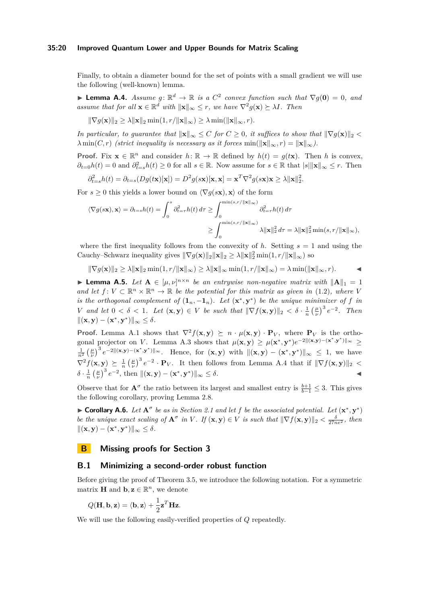### **35:20 Improved Quantum Lower and Upper Bounds for Matrix Scaling**

Finally, to obtain a diameter bound for the set of points with a small gradient we will use the following (well-known) lemma.

▶ **Lemma A.4.** *Assume*  $g: \mathbb{R}^d \to \mathbb{R}$  *is a*  $C^2$  *convex function such that*  $\nabla g(\mathbf{0}) = 0$ *, and assume that for all*  $\mathbf{x} \in \mathbb{R}^d$  *with*  $\|\mathbf{x}\|_{\infty} \leq r$ , we have  $\nabla^2 g(\mathbf{x}) \succeq \lambda I$ *. Then* 

$$
\|\nabla g(\mathbf{x})\|_2 \ge \lambda \|\mathbf{x}\|_2 \min(1, r/\|\mathbf{x}\|_{\infty}) \ge \lambda \min(\|\mathbf{x}\|_{\infty}, r).
$$

*In particular, to guarantee that*  $||\mathbf{x}||_{\infty} \leq C$  *for*  $C \geq 0$ *, it suffices to show that*  $||\nabla g(\mathbf{x})||_2 <$  $\lambda$  min $(C, r)$  *(strict inequality is necessary as it forces* min $(\|\mathbf{x}\|_{\infty}, r) = \|\mathbf{x}\|_{\infty}$ ).

**Proof.** Fix  $\mathbf{x} \in \mathbb{R}^n$  and consider  $h: \mathbb{R} \to \mathbb{R}$  defined by  $h(t) = g(t\mathbf{x})$ . Then *h* is convex,  $\partial_{t=0}h(t) = 0$  and  $\partial_{t=s}^2h(t) \geq 0$  for all  $s \in \mathbb{R}$ . Now assume for  $s \in \mathbb{R}$  that  $|s| \|\mathbf{x}\|_{\infty} \leq r$ . Then

$$
\partial_{t=s}^2 h(t) = \partial_{t=s}(Dg(t\mathbf{x})[\mathbf{x}]) = D^2 g(s\mathbf{x})[\mathbf{x}, \mathbf{x}] = \mathbf{x}^T \nabla^2 g(s\mathbf{x}) \mathbf{x} \ge \lambda \|\mathbf{x}\|_2^2.
$$

For  $s > 0$  this yields a lower bound on  $\langle \nabla q(s\mathbf{x}), \mathbf{x} \rangle$  of the form

$$
\langle \nabla g(s\mathbf{x}), \mathbf{x} \rangle = \partial_{t=s} h(t) = \int_0^s \partial_{t=\tau}^2 h(t) \, d\tau \ge \int_0^{\min(s,r/\|\mathbf{x}\|_{\infty})} \partial_{t=\tau}^2 h(t) \, d\tau
$$

$$
\ge \int_0^{\min(s,r/\|\mathbf{x}\|_{\infty})} \lambda \|\mathbf{x}\|_2^2 \, d\tau = \lambda \|\mathbf{x}\|_2^2 \min(s,r/\|\mathbf{x}\|_{\infty}),
$$

where the first inequality follows from the convexity of  $h$ . Setting  $s = 1$  and using the Cauchy–Schwarz inequality gives  $\|\nabla g(\mathbf{x})\|_2 \|\mathbf{x}\|_2 \geq \lambda \|\mathbf{x}\|_2^2 \min(1, r/\|\mathbf{x}\|_{\infty})$  so

$$
\|\nabla g(\mathbf{x})\|_2 \ge \lambda \|\mathbf{x}\|_2 \min(1,r/\|\mathbf{x}\|_{\infty}) \ge \lambda \|\mathbf{x}\|_{\infty} \min(1,r/\|\mathbf{x}\|_{\infty}) = \lambda \min(\|\mathbf{x}\|_{\infty},r).
$$

▶ **Lemma A.5.** *Let*  $A \in [\mu, \nu]^{n \times n}$  *be an entrywise non-negative matrix with*  $||A||_1 = 1$ *and let*  $f: V \subset \mathbb{R}^n \times \mathbb{R}^n \to \mathbb{R}$  *be the potential for this matrix as given in* (1.2)*, where V is the orthogonal complement of*  $(1_n, -1_n)$ *. Let*  $(\mathbf{x}^*, \mathbf{y}^*)$  *be the unique minimizer of f in V and let*  $0 < \delta < 1$ *. Let*  $(\mathbf{x}, \mathbf{y}) \in V$  *be such that*  $\|\nabla f(\mathbf{x}, \mathbf{y})\|_2 < \delta \cdot \frac{1}{n} \left(\frac{\mu}{\nu}\right)^3 e^{-2}$ *. Then*  $||(x, y) - (x^*, y^*)||_{\infty} \leq \delta.$ 

**Proof.** Lemma A.1 shows that  $\nabla^2 f(\mathbf{x}, \mathbf{y}) \succeq n \cdot \mu(\mathbf{x}, \mathbf{y}) \cdot \mathbf{P}_V$ , where  $\mathbf{P}_V$  is the orthogonal projector on *V*. Lemma A.3 shows that  $\mu(\mathbf{x}, \mathbf{y}) \geq \mu(\mathbf{x}^*, \mathbf{y}^*)e^{-2\|(\mathbf{x}, \mathbf{y}) - (\mathbf{x}^*, \mathbf{y}^*)\|_{\infty}} \geq$  $\frac{1}{n^2} \left(\frac{\mu}{\nu}\right)^3 e^{-2\|(x,y)-\langle x^*,y^*\rangle\|_\infty}$ . Hence, for  $(x,y)$  with  $\|(x,y)-\langle x^*,y^*\rangle\|_\infty \leq 1$ , we have  $\nabla^2 f(\mathbf{x}, \mathbf{y}) \succeq \frac{1}{n} \left(\frac{\mu}{\nu}\right)^3 e^{-2} \cdot \mathbf{P}_V$ . It then follows from Lemma A.4 that if  $\|\nabla f(\mathbf{x}, \mathbf{y})\|_2 <$  $\delta \cdot \frac{1}{n} \left( \frac{\mu}{\nu} \right)^3 e^{-2}$ , then  $\|(\mathbf{x}, \mathbf{y}) - (\mathbf{x}^*, \mathbf{y}^*) \|_{\infty} \le \delta$ .

Observe that for  $\mathbf{A}^{\sigma}$  the ratio between its largest and smallest entry is  $\frac{b+1}{b-1} \leq 3$ . This gives the following corollary, proving Lemma 2.8.

▶ **Corollary A.6.** Let  $A^{\sigma}$  be as in Section 2.1 and let f be the associated potential. Let  $(\mathbf{x}^*, \mathbf{y}^*)$ be the unique exact scaling of  $A^{\sigma}$  in V. If  $(\mathbf{x}, \mathbf{y}) \in V$  is such that  $\|\nabla f(\mathbf{x}, \mathbf{y})\|_2 < \frac{\delta}{27n\epsilon^2}$ , then  $||(x, y) - (x^*, y^*)||_{\infty} \leq \delta.$ 

### **B Missing proofs for Section 3**

### **B.1 Minimizing a second-order robust function**

Before giving the proof of Theorem 3.5, we introduce the following notation. For a symmetric matrix **H** and **b**,  $\mathbf{z} \in \mathbb{R}^n$ , we denote

$$
Q(\mathbf{H}, \mathbf{b}, \mathbf{z}) = \langle \mathbf{b}, \mathbf{z} \rangle + \frac{1}{2} \mathbf{z}^T \mathbf{H} \mathbf{z}.
$$

We will use the following easily-verified properties of *Q* repeatedly.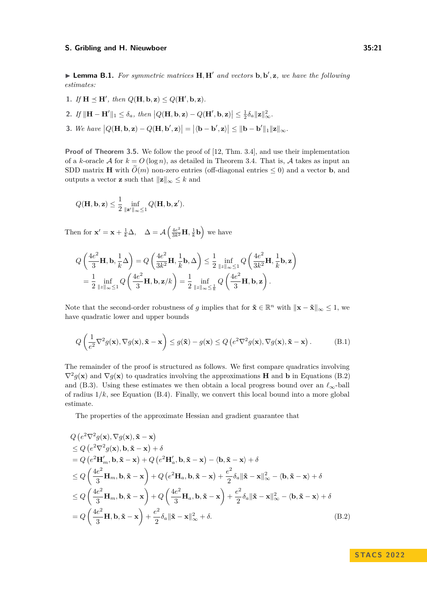▶ **Lemma B.1.** *For symmetric matrices* **H***,* **H**′ *and vectors* **b***,* **b** ′ *,* **z***, we have the following estimates:*

- 1. *If*  $H \preceq H'$ *, then*  $Q(H, \mathbf{b}, \mathbf{z}) \leq Q(H', \mathbf{b}, \mathbf{z})$ *.*
- 2. If  $\|\mathbf{H}-\mathbf{H}'\|_1 \leq \delta_a$ , then  $|Q(\mathbf{H}, \mathbf{b}, \mathbf{z}) Q(\mathbf{H}', \mathbf{b}, \mathbf{z})| \leq \frac{1}{2}\delta_a \|\mathbf{z}\|_{\infty}^2$ .
- 3. We have  $|Q(\mathbf{H}, \mathbf{b}, \mathbf{z}) Q(\mathbf{H}, \mathbf{b}', \mathbf{z})| = |\langle \mathbf{b} \mathbf{b}', \mathbf{z} \rangle| \le ||\mathbf{b} \mathbf{b}'||_1 ||\mathbf{z}||_{\infty}$ .

**Proof of Theorem 3.5.** We follow the proof of [12, Thm. 3.4], and use their implementation of a *k*-oracle A for  $k = O(\log n)$ , as detailed in Theorem 3.4. That is, A takes as input an SDD matrix **H** with  $\tilde{O}(m)$  non-zero entries (off-diagonal entries  $\leq 0$ ) and a vector **b**, and outputs a vector **z** such that  $||\mathbf{z}||_{\infty} \leq k$  and

$$
Q(\mathbf{H},\mathbf{b},\mathbf{z}) \leq \frac{1}{2} \inf_{\|\mathbf{z}'\|_{\infty} \leq 1} Q(\mathbf{H},\mathbf{b},\mathbf{z}').
$$

Then for  $\mathbf{x}' = \mathbf{x} + \frac{1}{k}\Delta$ ,  $\Delta = \mathcal{A}\left(\frac{4e^2}{3k^2}\mathbf{H}, \frac{1}{k}\mathbf{b}\right)$  we have

$$
Q\left(\frac{4e^2}{3}\mathbf{H}, \mathbf{b}, \frac{1}{k}\Delta\right) = Q\left(\frac{4e^2}{3k^2}\mathbf{H}, \frac{1}{k}\mathbf{b}, \Delta\right) \le \frac{1}{2} \inf_{\|z\|_{\infty} \le 1} Q\left(\frac{4e^2}{3k^2}\mathbf{H}, \frac{1}{k}\mathbf{b}, \mathbf{z}\right)
$$
  
=  $\frac{1}{2} \inf_{\|z\|_{\infty} \le 1} Q\left(\frac{4e^2}{3}\mathbf{H}, \mathbf{b}, \mathbf{z}/k\right) = \frac{1}{2} \inf_{\|z\|_{\infty} \le \frac{1}{k}} Q\left(\frac{4e^2}{3}\mathbf{H}, \mathbf{b}, \mathbf{z}\right).$ 

Note that the second-order robustness of *g* implies that for  $\tilde{\mathbf{x}} \in \mathbb{R}^n$  with  $\|\mathbf{x} - \tilde{\mathbf{x}}\|_{\infty} \leq 1$ , we have quadratic lower and upper bounds

$$
Q\left(\frac{1}{e^2}\nabla^2 g(\mathbf{x}), \nabla g(\mathbf{x}), \tilde{\mathbf{x}} - \mathbf{x}\right) \le g(\tilde{\mathbf{x}}) - g(\mathbf{x}) \le Q\left(e^2 \nabla^2 g(\mathbf{x}), \nabla g(\mathbf{x}), \tilde{\mathbf{x}} - \mathbf{x}\right).
$$
 (B.1)

The remainder of the proof is structured as follows. We first compare quadratics involving  $\nabla^2 g(\mathbf{x})$  and  $\nabla g(\mathbf{x})$  to quadratics involving the approximations **H** and **b** in Equations (B.2) and (B.3). Using these estimates we then obtain a local progress bound over an  $\ell_{\infty}$ -ball of radius  $1/k$ , see Equation  $(B.4)$ . Finally, we convert this local bound into a more global estimate.

The properties of the approximate Hessian and gradient guarantee that

$$
Q(e^{2}\nabla^{2}g(\mathbf{x}), \nabla g(\mathbf{x}), \tilde{\mathbf{x}} - \mathbf{x})
$$
  
\n
$$
\leq Q(e^{2}\nabla^{2}g(\mathbf{x}), \mathbf{b}, \tilde{\mathbf{x}} - \mathbf{x}) + \delta
$$
  
\n
$$
= Q(e^{2}\mathbf{H}'_{m}, \mathbf{b}, \tilde{\mathbf{x}} - \mathbf{x}) + Q(e^{2}\mathbf{H}'_{a}, \mathbf{b}, \tilde{\mathbf{x}} - \mathbf{x}) - \langle \mathbf{b}, \tilde{\mathbf{x}} - \mathbf{x} \rangle + \delta
$$
  
\n
$$
\leq Q\left(\frac{4e^{2}}{3}\mathbf{H}_{m}, \mathbf{b}, \tilde{\mathbf{x}} - \mathbf{x}\right) + Q(e^{2}\mathbf{H}_{a}, \mathbf{b}, \tilde{\mathbf{x}} - \mathbf{x}) + \frac{e^{2}}{2}\delta_{a} \|\tilde{\mathbf{x}} - \mathbf{x}\|_{\infty}^{2} - \langle \mathbf{b}, \tilde{\mathbf{x}} - \mathbf{x} \rangle + \delta
$$
  
\n
$$
\leq Q\left(\frac{4e^{2}}{3}\mathbf{H}_{m}, \mathbf{b}, \tilde{\mathbf{x}} - \mathbf{x}\right) + Q\left(\frac{4e^{2}}{3}\mathbf{H}_{a}, \mathbf{b}, \tilde{\mathbf{x}} - \mathbf{x}\right) + \frac{e^{2}}{2}\delta_{a} \|\tilde{\mathbf{x}} - \mathbf{x}\|_{\infty}^{2} - \langle \mathbf{b}, \tilde{\mathbf{x}} - \mathbf{x} \rangle + \delta
$$
  
\n
$$
= Q\left(\frac{4e^{2}}{3}\mathbf{H}, \mathbf{b}, \tilde{\mathbf{x}} - \mathbf{x}\right) + \frac{e^{2}}{2}\delta_{a} \|\tilde{\mathbf{x}} - \mathbf{x}\|_{\infty}^{2} + \delta.
$$
 (B.2)

**STACS 2022**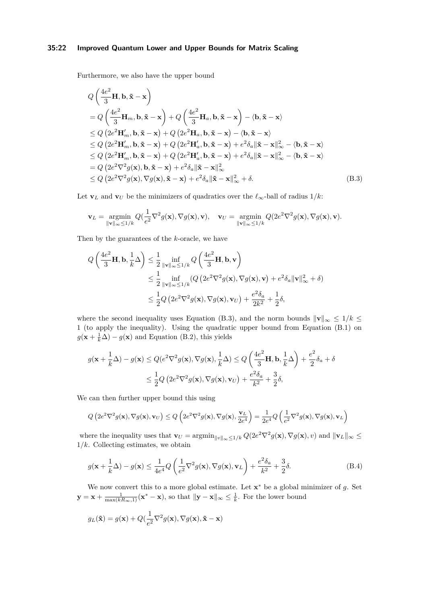### **35:22 Improved Quantum Lower and Upper Bounds for Matrix Scaling**

Furthermore, we also have the upper bound

22.24

$$
Q\left(\frac{4e^2}{3}\mathbf{H}, \mathbf{b}, \tilde{\mathbf{x}} - \mathbf{x}\right)
$$
  
=  $Q\left(\frac{4e^2}{3}\mathbf{H}_m, \mathbf{b}, \tilde{\mathbf{x}} - \mathbf{x}\right) + Q\left(\frac{4e^2}{3}\mathbf{H}_a, \mathbf{b}, \tilde{\mathbf{x}} - \mathbf{x}\right) - \langle \mathbf{b}, \tilde{\mathbf{x}} - \mathbf{x}\rangle$   

$$
\leq Q\left(2e^2\mathbf{H}'_m, \mathbf{b}, \tilde{\mathbf{x}} - \mathbf{x}\right) + Q\left(2e^2\mathbf{H}_a, \mathbf{b}, \tilde{\mathbf{x}} - \mathbf{x}\right) - \langle \mathbf{b}, \tilde{\mathbf{x}} - \mathbf{x}\rangle
$$
  

$$
\leq Q\left(2e^2\mathbf{H}'_m, \mathbf{b}, \tilde{\mathbf{x}} - \mathbf{x}\right) + Q\left(2e^2\mathbf{H}'_a, \mathbf{b}, \tilde{\mathbf{x}} - \mathbf{x}\right) + e^2\delta_a \|\tilde{\mathbf{x}} - \mathbf{x}\|_{\infty}^2 - \langle \mathbf{b}, \tilde{\mathbf{x}} - \mathbf{x}\rangle
$$
  

$$
\leq Q\left(2e^2\mathbf{H}'_m, \mathbf{b}, \tilde{\mathbf{x}} - \mathbf{x}\right) + Q\left(2e^2\mathbf{H}'_a, \mathbf{b}, \tilde{\mathbf{x}} - \mathbf{x}\right) + e^2\delta_a \|\tilde{\mathbf{x}} - \mathbf{x}\|_{\infty}^2 - \langle \mathbf{b}, \tilde{\mathbf{x}} - \mathbf{x}\rangle
$$
  
=  $Q\left(2e^2\nabla^2 g(\mathbf{x}), \mathbf{b}, \tilde{\mathbf{x}} - \mathbf{x}\right) + e^2\delta_a \|\tilde{\mathbf{x}} - \mathbf{x}\|_{\infty}^2$   

$$
\leq Q\left(2e^2\nabla^2 g(\mathbf{x}), \nabla g(\mathbf{x}), \tilde{\mathbf{x}} - \mathbf{x}\right) + e^2\delta_a \|\tilde{\mathbf{x}} - \mathbf{x}\|_{\infty}^2 + \delta.
$$
 (B.3)

Let **v**<sub>*L*</sub> and **v**<sub>*U*</sub> be the minimizers of quadratics over the  $\ell_{\infty}$ -ball of radius 1/k:

$$
\mathbf{v}_L = \underset{\|\mathbf{v}\|_{\infty} \leq 1/k}{\text{argmin}} Q(\frac{1}{e^2} \nabla^2 g(\mathbf{x}), \nabla g(\mathbf{x}), \mathbf{v}), \quad \mathbf{v}_U = \underset{\|\mathbf{v}\|_{\infty} \leq 1/k}{\text{argmin}} Q(2e^2 \nabla^2 g(\mathbf{x}), \nabla g(\mathbf{x}), \mathbf{v}).
$$

Then by the guarantees of the *k*-oracle, we have

$$
Q\left(\frac{4e^2}{3}\mathbf{H}, \mathbf{b}, \frac{1}{k}\Delta\right) \le \frac{1}{2} \inf_{\|\mathbf{v}\|_{\infty} \le 1/k} Q\left(\frac{4e^2}{3}\mathbf{H}, \mathbf{b}, \mathbf{v}\right)
$$
  

$$
\le \frac{1}{2} \inf_{\|\mathbf{v}\|_{\infty} \le 1/k} (Q\left(2e^2 \nabla^2 g(\mathbf{x}), \nabla g(\mathbf{x}), \mathbf{v}\right) + e^2 \delta_a \|\mathbf{v}\|_{\infty}^2 + \delta)
$$
  

$$
\le \frac{1}{2} Q\left(2e^2 \nabla^2 g(\mathbf{x}), \nabla g(\mathbf{x}), \mathbf{v}_U\right) + \frac{e^2 \delta_a}{2k^2} + \frac{1}{2}\delta,
$$

where the second inequality uses Equation (B.3), and the norm bounds  $||\mathbf{v}||_{\infty} \leq 1/k \leq$ 1 (to apply the inequality). Using the quadratic upper bound from Equation (B.1) on  $g(\mathbf{x} + \frac{1}{k}\Delta) - g(\mathbf{x})$  and Equation (B.2), this yields

$$
g(\mathbf{x} + \frac{1}{k}\Delta) - g(\mathbf{x}) \le Q(e^2 \nabla^2 g(\mathbf{x}), \nabla g(\mathbf{x}), \frac{1}{k}\Delta) \le Q\left(\frac{4e^2}{3}\mathbf{H}, \mathbf{b}, \frac{1}{k}\Delta\right) + \frac{e^2}{2}\delta_a + \delta
$$
  

$$
\le \frac{1}{2}Q\left(2e^2 \nabla^2 g(\mathbf{x}), \nabla g(\mathbf{x}), \mathbf{v}_U\right) + \frac{e^2 \delta_a}{k^2} + \frac{3}{2}\delta,
$$

We can then further upper bound this using

$$
Q\left(2e^{2}\nabla^{2}g(\mathbf{x}),\nabla g(\mathbf{x}),\mathbf{v}_{U}\right) \leq Q\left(2e^{2}\nabla^{2}g(\mathbf{x}),\nabla g(\mathbf{x}),\frac{\mathbf{v}_{L}}{2e^{4}}\right) = \frac{1}{2e^{4}}Q\left(\frac{1}{e^{2}}\nabla^{2}g(\mathbf{x}),\nabla g(\mathbf{x}),\mathbf{v}_{L}\right)
$$

where the inequality uses that  $\mathbf{v}_U = \operatorname{argmin}_{\|v\|_{\infty} \leq 1/k} Q(2e^2 \nabla^2 g(\mathbf{x}), \nabla g(\mathbf{x}), v)$  and  $\|\mathbf{v}_L\|_{\infty} \leq$ 1*/k*. Collecting estimates, we obtain

$$
g(\mathbf{x} + \frac{1}{k}\Delta) - g(\mathbf{x}) \le \frac{1}{4e^4} Q\left(\frac{1}{e^2}\nabla^2 g(\mathbf{x}), \nabla g(\mathbf{x}), \mathbf{v}_L\right) + \frac{e^2 \delta_a}{k^2} + \frac{3}{2}\delta.
$$
 (B.4)

We now convert this to a more global estimate. Let **x** <sup>∗</sup> be a global minimizer of *g*. Set  $\mathbf{y} = \mathbf{x} + \frac{1}{\max(kR_{\infty},1)}(\mathbf{x}^* - \mathbf{x})$ , so that  $\|\mathbf{y} - \mathbf{x}\|_{\infty} \leq \frac{1}{k}$ . For the lower bound

$$
g_L(\tilde{\mathbf{x}}) = g(\mathbf{x}) + Q(\frac{1}{e^2}\nabla^2 g(\mathbf{x}), \nabla g(\mathbf{x}), \tilde{\mathbf{x}} - \mathbf{x})
$$